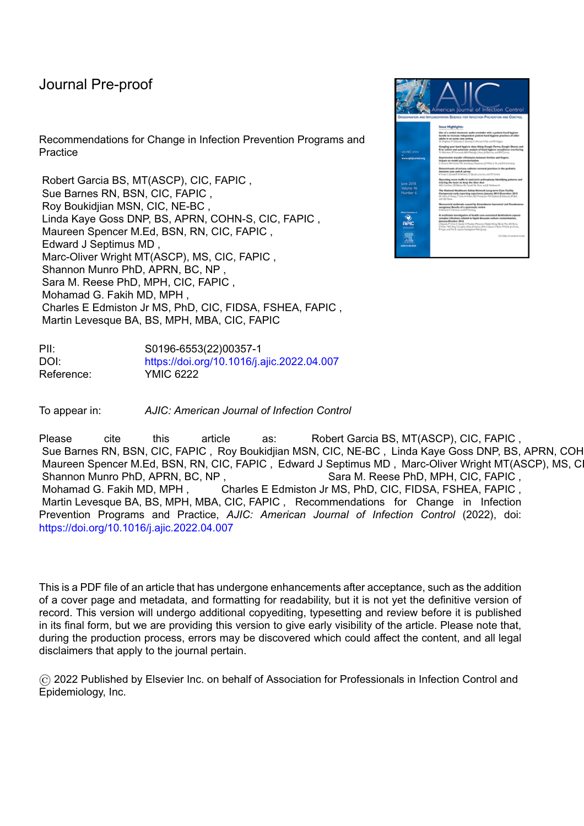# Journal Pre-proof

Recommendations for Change in Infection Prevention Programs and **Practice** 

Robert Garcia BS, MT(ASCP), CIC, FAPIC , Sue Barnes RN, BSN, CIC, FAPIC , Roy Boukidjian MSN, CIC, NE-BC , Linda Kaye Goss DNP, BS, APRN, COHN-S, CIC, FAPIC , Maureen Spencer M.Ed, BSN, RN, CIC, FAPIC , Edward J Septimus MD , Marc-Oliver Wright MT(ASCP), MS, CIC, FAPIC , Shannon Munro PhD, APRN, BC, NP , Sara M. Reese PhD, MPH, CIC, FAPIC , Mohamad G. Fakih MD, MPH , Charles E Edmiston Jr MS, PhD, CIC, FIDSA, FSHEA, FAPIC , Martin Levesque BA, BS, MPH, MBA, CIC, FAPIC

PII: S0196-6553(22)00357-1 DOI: <https://doi.org/10.1016/j.ajic.2022.04.007> Reference: YMIC 6222

To appear in: *AJIC: American Journal of Infection Control*

Please cite this article as: Robert Garcia BS, MT(ASCP), CIC, FAPIC, Sue Barnes RN, BSN, CIC, FAPIC, Roy Boukidjian MSN, CIC, NE-BC, Linda Kaye Goss DNP, BS, APRN, COH Maureen Spencer M.Ed, BSN, RN, CIC, FAPIC, Edward J Septimus MD, Marc-Oliver Wright MT(ASCP), MS, CI Shannon Munro PhD, APRN, BC, NP, Sara M. Reese PhD, MPH, CIC, FAPIC, Mohamad G. Fakih MD, MPH, Charles E Edmiston Jr MS, PhD, CIC, FIDSA, FSHEA, FAPIC, Martin Levesque BA, BS, MPH, MBA, CIC, FAPIC , Recommendations for Change in Infection Prevention Programs and Practice, *AJIC: American Journal of Infection Control* (2022), doi: <https://doi.org/10.1016/j.ajic.2022.04.007>

This is a PDF file of an article that has undergone enhancements after acceptance, such as the addition of a cover page and metadata, and formatting for readability, but it is not yet the definitive version of record. This version will undergo additional copyediting, typesetting and review before it is published in its final form, but we are providing this version to give early visibility of the article. Please note that, during the production process, errors may be discovered which could affect the content, and all legal disclaimers that apply to the journal pertain.

© 2022 Published by Elsevier Inc. on behalf of Association for Professionals in Infection Control and Epidemiology, Inc.

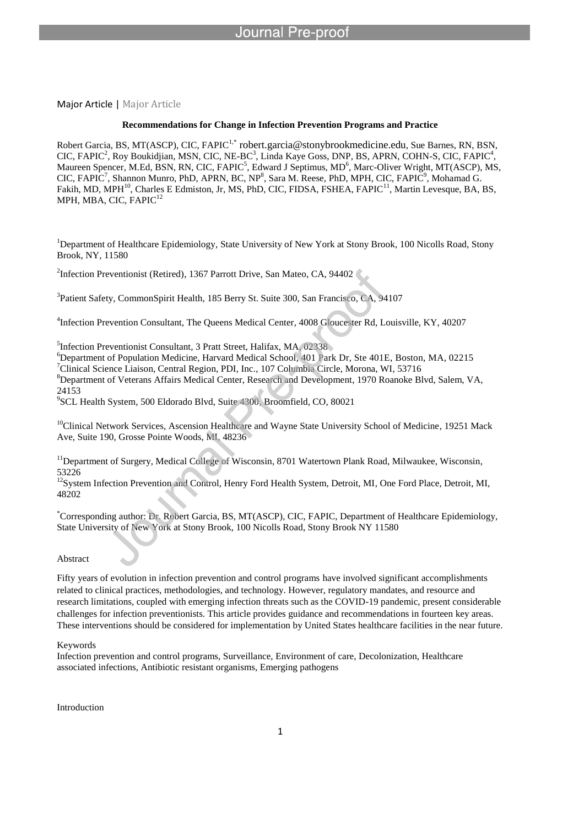Major Article | Major Article

### **Recommendations for Change in Infection Prevention Programs and Practice**

Robert Garcia, BS, MT(ASCP), CIC, FAPIC<sup>1,\*</sup> robert.garcia@stonybrookmedicine.edu, Sue Barnes, RN, BSN,  $CIC$ , FAPI $C^2$ , Roy Boukidjian, MSN, CIC, NE-B $C^3$ , Linda Kaye Goss, DNP, BS, APRN, COHN-S, CIC, FAPI $C^4$ , Maureen Spencer, M.Ed, BSN, RN, CIC, FAPIC<sup>5</sup>, Edward J Septimus, MD<sup>6</sup>, Marc-Oliver Wright, MT(ASCP), MS, CIC, FAPIC<sup>7</sup>, Shannon Munro, PhD, APRN, BC, NP<sup>8</sup>, Sara M. Reese, PhD, MPH, CIC, FAPIC<sup>9</sup>, Mohamad G. Fakih, MD, MPH<sup>10</sup>, Charles E Edmiston, Jr, MS, PhD, CIC, FIDSA, FSHEA, FAPIC<sup>11</sup>, Martin Levesque, BA, BS, MPH, MBA, CIC, FAPIC<sup>12</sup>

<sup>1</sup>Department of Healthcare Epidemiology, State University of New York at Stony Brook, 100 Nicolls Road, Stony Brook, NY, 11580

2 Infection Preventionist (Retired), 1367 Parrott Drive, San Mateo, CA, 94402

l

<sup>3</sup>Patient Safety, CommonSpirit Health, 185 Berry St. Suite 300, San Francisco, CA, 94107

4 Infection Prevention Consultant, The Queens Medical Center, 4008 Gloucester Rd, Louisville, KY, 40207

5 Infection Preventionist Consultant, 3 Pratt Street, Halifax, MA, 02338

Department of Population Medicine, Harvard Medical School, 401 Park Dr, Ste 401E, Boston, MA, 02215 Clinical Science Liaison, Central Region, PDI, Inc., 107 Columbia Circle, Morona, WI, 53716 Department of Veterans Affairs Medical Center, Research and Development, 1970 Roanoke Blvd, Salem, VA, 24153

9 SCL Health System, 500 Eldorado Blvd, Suite 4300, Broomfield, CO, 80021

<sup>10</sup>Clinical Network Services, Ascension Healthcare and Wayne State University School of Medicine, 19251 Mack Ave, Suite 190, Grosse Pointe Woods, MI, 48236

 $<sup>11</sup>$ Department of Surgery, Medical College of Wisconsin, 8701 Watertown Plank Road, Milwaukee, Wisconsin,</sup> 53226

<sup>12</sup>System Infection Prevention and Control, Henry Ford Health System, Detroit, MI, One Ford Place, Detroit, MI, 48202

\*Corresponding author: Dr. Robert Garcia, BS, MT(ASCP), CIC, FAPIC, Department of Healthcare Epidemiology, State University of New York at Stony Brook, 100 Nicolls Road, Stony Brook NY 11580

### Abstract

Fifty years of evolution in infection prevention and control programs have involved significant accomplishments related to clinical practices, methodologies, and technology. However, regulatory mandates, and resource and research limitations, coupled with emerging infection threats such as the COVID-19 pandemic, present considerable challenges for infection preventionists. This article provides guidance and recommendations in fourteen key areas. These interventions should be considered for implementation by United States healthcare facilities in the near future.

### Keywords

Infection prevention and control programs, Surveillance, Environment of care, Decolonization, Healthcare associated infections, Antibiotic resistant organisms, Emerging pathogens

Introduction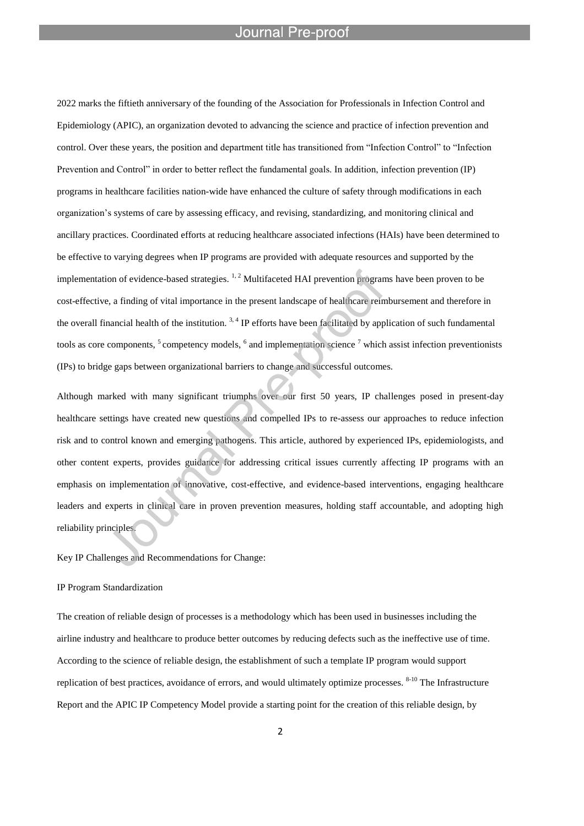l

2022 marks the fiftieth anniversary of the founding of the Association for Professionals in Infection Control and Epidemiology (APIC), an organization devoted to advancing the science and practice of infection prevention and control. Over these years, the position and department title has transitioned from "Infection Control" to "Infection Prevention and Control" in order to better reflect the fundamental goals. In addition, infection prevention (IP) programs in healthcare facilities nation-wide have enhanced the culture of safety through modifications in each organization's systems of care by assessing efficacy, and revising, standardizing, and monitoring clinical and ancillary practices. Coordinated efforts at reducing healthcare associated infections (HAIs) have been determined to be effective to varying degrees when IP programs are provided with adequate resources and supported by the implementation of evidence-based strategies.  $1, 2$  Multifaceted HAI prevention programs have been proven to be cost-effective, a finding of vital importance in the present landscape of healthcare reimbursement and therefore in the overall financial health of the institution.  $3,4$  IP efforts have been facilitated by application of such fundamental tools as core components,  $5$  competency models,  $6$  and implementation science  $7$  which assist infection preventionists (IPs) to bridge gaps between organizational barriers to change and successful outcomes.

Although marked with many significant triumphs over our first 50 years, IP challenges posed in present-day healthcare settings have created new questions and compelled IPs to re-assess our approaches to reduce infection risk and to control known and emerging pathogens. This article, authored by experienced IPs, epidemiologists, and other content experts, provides guidance for addressing critical issues currently affecting IP programs with an emphasis on implementation of innovative, cost-effective, and evidence-based interventions, engaging healthcare leaders and experts in clinical care in proven prevention measures, holding staff accountable, and adopting high reliability principles.

Key IP Challenges and Recommendations for Change:

### IP Program Standardization

The creation of reliable design of processes is a methodology which has been used in businesses including the airline industry and healthcare to produce better outcomes by reducing defects such as the ineffective use of time. According to the science of reliable design, the establishment of such a template IP program would support replication of best practices, avoidance of errors, and would ultimately optimize processes. <sup>8-10</sup> The Infrastructure Report and the APIC IP Competency Model provide a starting point for the creation of this reliable design, by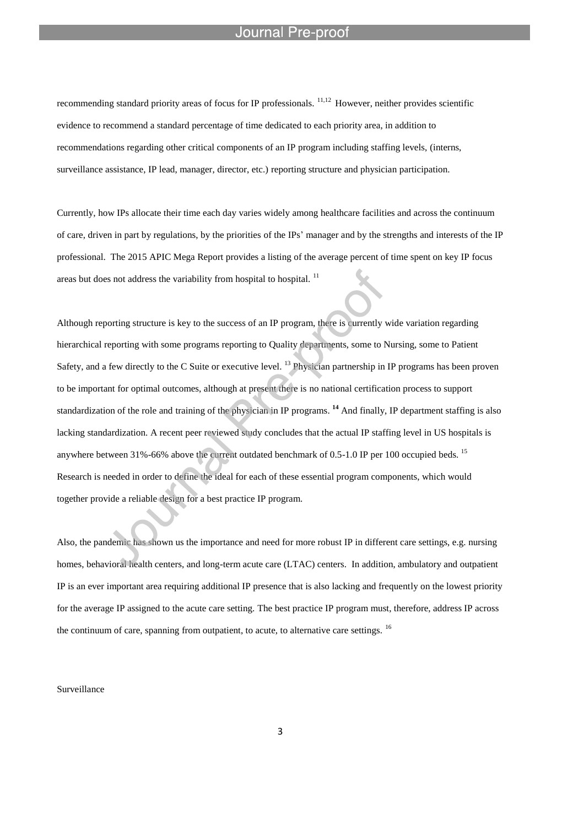recommending standard priority areas of focus for IP professionals. 11,12 However, neither provides scientific evidence to recommend a standard percentage of time dedicated to each priority area, in addition to recommendations regarding other critical components of an IP program including staffing levels, (interns, surveillance assistance, IP lead, manager, director, etc.) reporting structure and physician participation.

l

Currently, how IPs allocate their time each day varies widely among healthcare facilities and across the continuum of care, driven in part by regulations, by the priorities of the IPs' manager and by the strengths and interests of the IP professional. The 2015 APIC Mega Report provides a listing of the average percent of time spent on key IP focus areas but does not address the variability from hospital to hospital.<sup>11</sup>

Although reporting structure is key to the success of an IP program, there is currently wide variation regarding hierarchical reporting with some programs reporting to Quality departments, some to Nursing, some to Patient Safety, and a few directly to the C Suite or executive level. <sup>13</sup> Physician partnership in IP programs has been proven to be important for optimal outcomes, although at present there is no national certification process to support standardization of the role and training of the physician in IP programs.<sup>14</sup> And finally, IP department staffing is also lacking standardization. A recent peer reviewed study concludes that the actual IP staffing level in US hospitals is anywhere between 31%-66% above the current outdated benchmark of 0.5-1.0 IP per 100 occupied beds. <sup>15</sup> Research is needed in order to define the ideal for each of these essential program components, which would together provide a reliable design for a best practice IP program.

Also, the pandemic has shown us the importance and need for more robust IP in different care settings, e.g. nursing homes, behavioral health centers, and long-term acute care (LTAC) centers. In addition, ambulatory and outpatient IP is an ever important area requiring additional IP presence that is also lacking and frequently on the lowest priority for the average IP assigned to the acute care setting. The best practice IP program must, therefore, address IP across the continuum of care, spanning from outpatient, to acute, to alternative care settings. <sup>16</sup>

Surveillance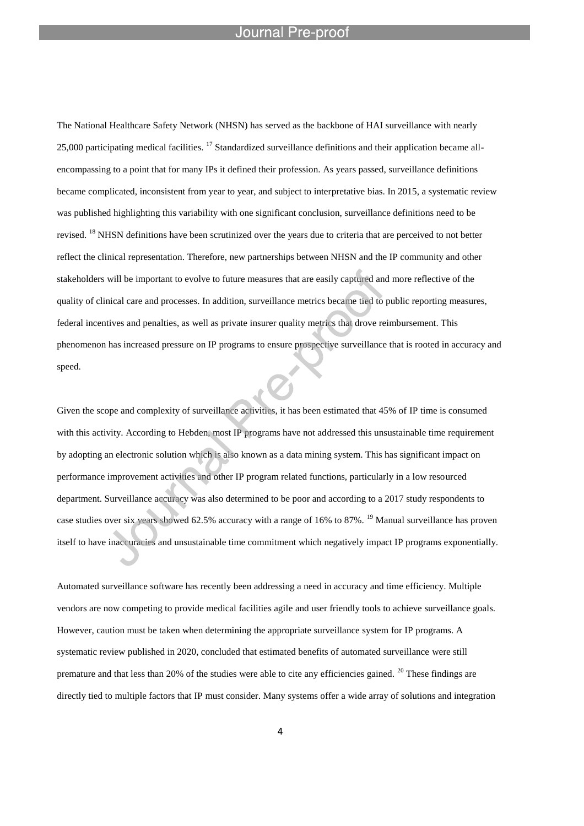l

The National Healthcare Safety Network (NHSN) has served as the backbone of HAI surveillance with nearly 25,000 participating medical facilities.  $^{17}$  Standardized surveillance definitions and their application became allencompassing to a point that for many IPs it defined their profession. As years passed, surveillance definitions became complicated, inconsistent from year to year, and subject to interpretative bias. In 2015, a systematic review was published highlighting this variability with one significant conclusion, surveillance definitions need to be revised. <sup>18</sup> NHSN definitions have been scrutinized over the years due to criteria that are perceived to not better reflect the clinical representation. Therefore, new partnerships between NHSN and the IP community and other stakeholders will be important to evolve to future measures that are easily captured and more reflective of the quality of clinical care and processes. In addition, surveillance metrics became tied to public reporting measures, federal incentives and penalties, as well as private insurer quality metrics that drove reimbursement. This phenomenon has increased pressure on IP programs to ensure prospective surveillance that is rooted in accuracy and speed.

Given the scope and complexity of surveillance activities, it has been estimated that 45% of IP time is consumed with this activity. According to Hebden, most IP programs have not addressed this unsustainable time requirement by adopting an electronic solution which is also known as a data mining system. This has significant impact on performance improvement activities and other IP program related functions, particularly in a low resourced department. Surveillance accuracy was also determined to be poor and according to a 2017 study respondents to case studies over six years showed 62.5% accuracy with a range of 16% to 87%. <sup>19</sup> Manual surveillance has proven itself to have inaccuracies and unsustainable time commitment which negatively impact IP programs exponentially.

Automated surveillance software has recently been addressing a need in accuracy and time efficiency. Multiple vendors are now competing to provide medical facilities agile and user friendly tools to achieve surveillance goals. However, caution must be taken when determining the appropriate surveillance system for IP programs. A systematic review published in 2020, concluded that estimated benefits of automated surveillance were still premature and that less than 20% of the studies were able to cite any efficiencies gained. <sup>20</sup> These findings are directly tied to multiple factors that IP must consider. Many systems offer a wide array of solutions and integration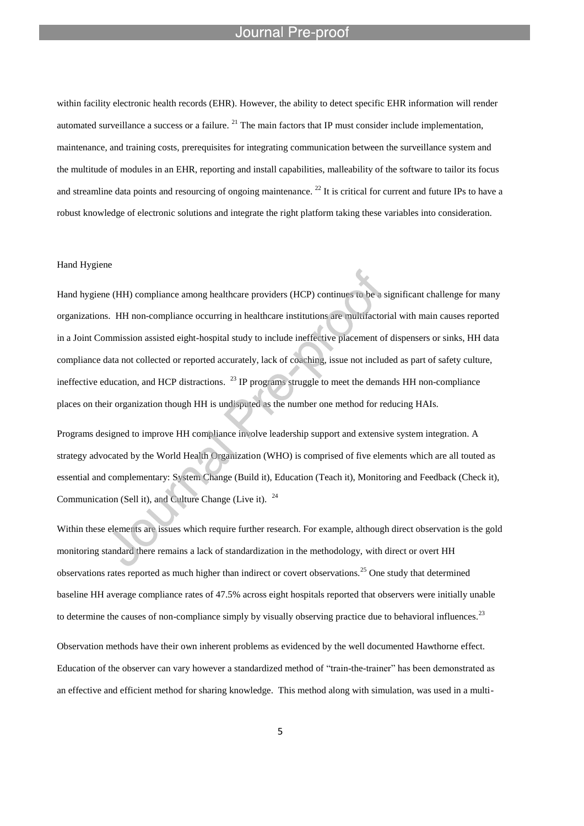l

within facility electronic health records (EHR). However, the ability to detect specific EHR information will render automated surveillance a success or a failure.  $^{21}$  The main factors that IP must consider include implementation, maintenance, and training costs, prerequisites for integrating communication between the surveillance system and the multitude of modules in an EHR, reporting and install capabilities, malleability of the software to tailor its focus and streamline data points and resourcing of ongoing maintenance.  $^{22}$  It is critical for current and future IPs to have a robust knowledge of electronic solutions and integrate the right platform taking these variables into consideration.

### Hand Hygiene

Hand hygiene (HH) compliance among healthcare providers (HCP) continues to be a significant challenge for many organizations. HH non-compliance occurring in healthcare institutions are multifactorial with main causes reported in a Joint Commission assisted eight-hospital study to include ineffective placement of dispensers or sinks, HH data compliance data not collected or reported accurately, lack of coaching, issue not included as part of safety culture, ineffective education, and HCP distractions.  $^{23}$  IP programs struggle to meet the demands HH non-compliance places on their organization though HH is undisputed as the number one method for reducing HAIs.

Programs designed to improve HH compliance involve leadership support and extensive system integration. A strategy advocated by the World Health Organization (WHO) is comprised of five elements which are all touted as essential and complementary: System Change (Build it), Education (Teach it), Monitoring and Feedback (Check it), Communication (Sell it), and Culture Change (Live it). <sup>24</sup>

Within these elements are issues which require further research. For example, although direct observation is the gold monitoring standard there remains a lack of standardization in the methodology, with direct or overt HH observations rates reported as much higher than indirect or covert observations.<sup>25</sup> One study that determined baseline HH average compliance rates of 47.5% across eight hospitals reported that observers were initially unable to determine the causes of non-compliance simply by visually observing practice due to behavioral influences.<sup>23</sup> Observation methods have their own inherent problems as evidenced by the well documented Hawthorne effect. Education of the observer can vary however a standardized method of "train-the-trainer" has been demonstrated as an effective and efficient method for sharing knowledge. This method along with simulation, was used in a multi-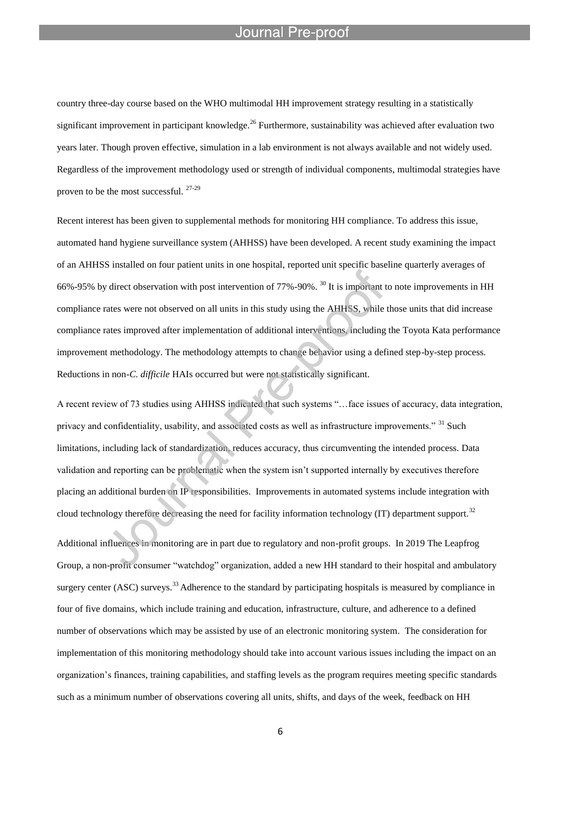l

country three-day course based on the WHO multimodal HH improvement strategy resulting in a statistically significant improvement in participant knowledge.<sup>26</sup> Furthermore, sustainability was achieved after evaluation two years later. Though proven effective, simulation in a lab environment is not always available and not widely used. Regardless of the improvement methodology used or strength of individual components, multimodal strategies have proven to be the most successful. 27-29

Recent interest has been given to supplemental methods for monitoring HH compliance. To address this issue, automated hand hygiene surveillance system (AHHSS) have been developed. A recent study examining the impact of an AHHSS installed on four patient units in one hospital, reported unit specific baseline quarterly averages of 66%-95% by direct observation with post intervention of 77%-90%.<sup>30</sup> It is important to note improvements in HH compliance rates were not observed on all units in this study using the AHHSS, while those units that did increase compliance rates improved after implementation of additional interventions, including the Toyota Kata performance improvement methodology. The methodology attempts to change behavior using a defined step-by-step process. Reductions in non-*C. difficile* HAIs occurred but were not statistically significant.

A recent review of 73 studies using AHHSS indicated that such systems "…face issues of accuracy, data integration, privacy and confidentiality, usability, and associated costs as well as infrastructure improvements." <sup>31</sup> Such limitations, including lack of standardization, reduces accuracy, thus circumventing the intended process. Data validation and reporting can be problematic when the system isn't supported internally by executives therefore placing an additional burden on IP responsibilities. Improvements in automated systems include integration with cloud technology therefore decreasing the need for facility information technology (IT) department support.<sup>32</sup> Additional influences in monitoring are in part due to regulatory and non-profit groups. In 2019 The Leapfrog Group, a non-profit consumer "watchdog" organization, added a new HH standard to their hospital and ambulatory surgery center (ASC) surveys.<sup>33</sup> Adherence to the standard by participating hospitals is measured by compliance in four of five domains, which include training and education, infrastructure, culture, and adherence to a defined number of observations which may be assisted by use of an electronic monitoring system. The consideration for implementation of this monitoring methodology should take into account various issues including the impact on an organization's finances, training capabilities, and staffing levels as the program requires meeting specific standards such as a minimum number of observations covering all units, shifts, and days of the week, feedback on HH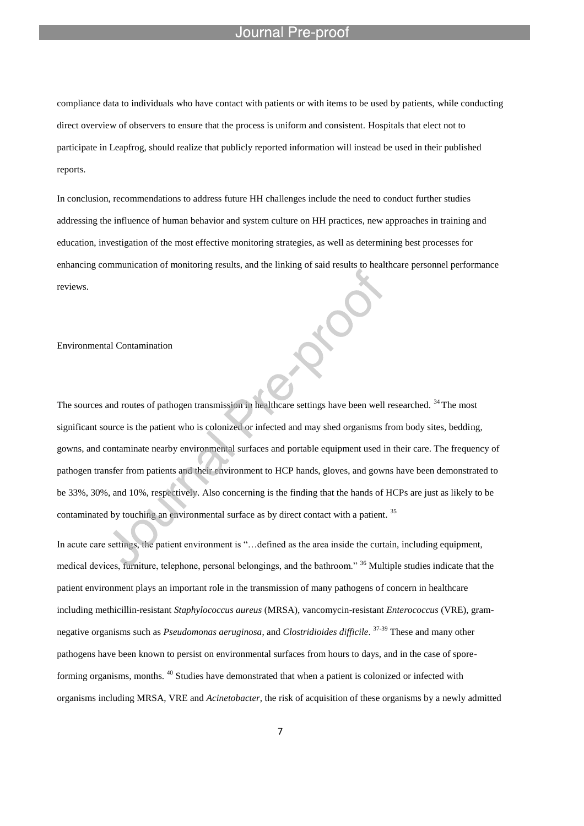compliance data to individuals who have contact with patients or with items to be used by patients, while conducting direct overview of observers to ensure that the process is uniform and consistent. Hospitals that elect not to participate in Leapfrog, should realize that publicly reported information will instead be used in their published reports.

In conclusion, recommendations to address future HH challenges include the need to conduct further studies addressing the influence of human behavior and system culture on HH practices, new approaches in training and education, investigation of the most effective monitoring strategies, as well as determining best processes for enhancing communication of monitoring results, and the linking of said results to healthcare personnel performance reviews.

### Environmental Contamination

The sources and routes of pathogen transmission in healthcare settings have been well researched. <sup>34</sup> The most significant source is the patient who is colonized or infected and may shed organisms from body sites, bedding, gowns, and contaminate nearby environmental surfaces and portable equipment used in their care. The frequency of pathogen transfer from patients and their environment to HCP hands, gloves, and gowns have been demonstrated to be 33%, 30%, and 10%, respectively. Also concerning is the finding that the hands of HCPs are just as likely to be contaminated by touching an environmental surface as by direct contact with a patient.<sup>35</sup>

In acute care settings, the patient environment is "... defined as the area inside the curtain, including equipment, medical devices, furniture, telephone, personal belongings, and the bathroom." <sup>36</sup> Multiple studies indicate that the patient environment plays an important role in the transmission of many pathogens of concern in healthcare including methicillin-resistant *Staphylococcus aureus* (MRSA), vancomycin-resistant *Enterococcus* (VRE), gramnegative organisms such as *Pseudomonas aeruginosa*, and *Clostridioides difficile*. 37-39 These and many other pathogens have been known to persist on environmental surfaces from hours to days, and in the case of sporeforming organisms, months. <sup>40</sup> Studies have demonstrated that when a patient is colonized or infected with organisms including MRSA, VRE and *Acinetobacter*, the risk of acquisition of these organisms by a newly admitted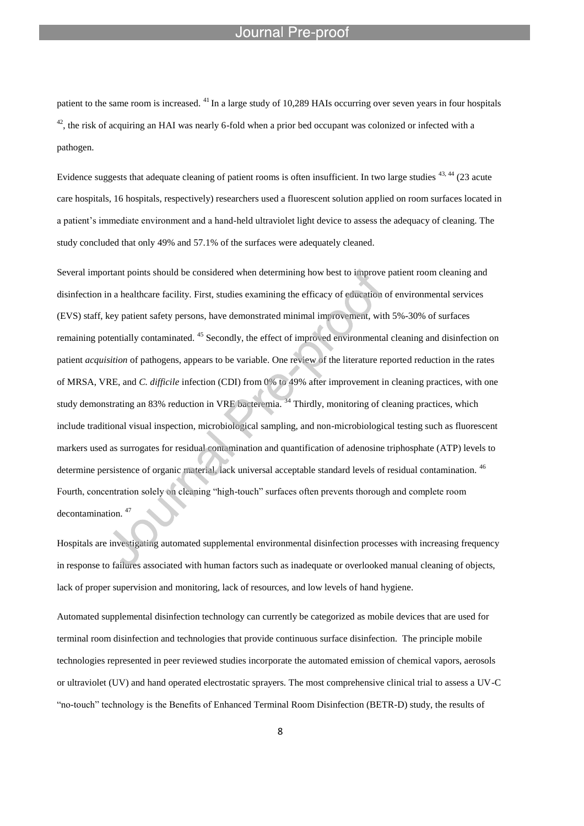l

patient to the same room is increased. <sup>41</sup> In a large study of 10,289 HAIs occurring over seven years in four hospitals  $^{42}$ , the risk of acquiring an HAI was nearly 6-fold when a prior bed occupant was colonized or infected with a pathogen.

Evidence suggests that adequate cleaning of patient rooms is often insufficient. In two large studies <sup>43, 44</sup> (23 acute care hospitals, 16 hospitals, respectively) researchers used a fluorescent solution applied on room surfaces located in a patient's immediate environment and a hand-held ultraviolet light device to assess the adequacy of cleaning. The study concluded that only 49% and 57.1% of the surfaces were adequately cleaned.

Several important points should be considered when determining how best to improve patient room cleaning and disinfection in a healthcare facility. First, studies examining the efficacy of education of environmental services (EVS) staff, key patient safety persons, have demonstrated minimal improvement, with 5%-30% of surfaces remaining potentially contaminated. <sup>45</sup> Secondly, the effect of improved environmental cleaning and disinfection on patient *acquisition* of pathogens, appears to be variable. One review of the literature reported reduction in the rates of MRSA, VRE, and *C. difficile* infection (CDI) from 0% to 49% after improvement in cleaning practices, with one study demonstrating an 83% reduction in VRE bacteremia.<sup>34</sup> Thirdly, monitoring of cleaning practices, which include traditional visual inspection, microbiological sampling, and non-microbiological testing such as fluorescent markers used as surrogates for residual contamination and quantification of adenosine triphosphate (ATP) levels to determine persistence of organic material, lack universal acceptable standard levels of residual contamination.<sup>46</sup> Fourth, concentration solely on cleaning "high-touch" surfaces often prevents thorough and complete room decontamination.<sup>47</sup>

Hospitals are investigating automated supplemental environmental disinfection processes with increasing frequency in response to failures associated with human factors such as inadequate or overlooked manual cleaning of objects, lack of proper supervision and monitoring, lack of resources, and low levels of hand hygiene.

Automated supplemental disinfection technology can currently be categorized as mobile devices that are used for terminal room disinfection and technologies that provide continuous surface disinfection. The principle mobile technologies represented in peer reviewed studies incorporate the automated emission of chemical vapors, aerosols or ultraviolet (UV) and hand operated electrostatic sprayers. The most comprehensive clinical trial to assess a UV-C "no-touch" technology is the Benefits of Enhanced Terminal Room Disinfection (BETR-D) study, the results of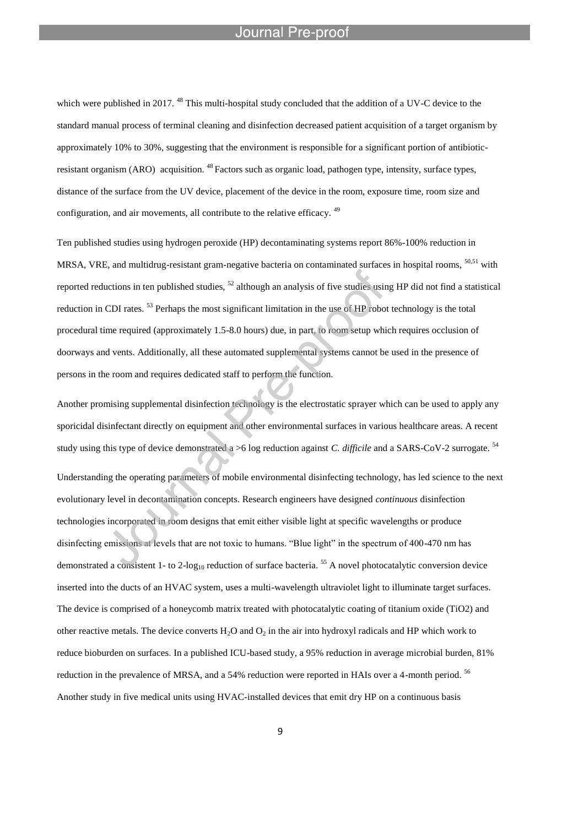l

which were published in 2017. <sup>48</sup> This multi-hospital study concluded that the addition of a UV-C device to the standard manual process of terminal cleaning and disinfection decreased patient acquisition of a target organism by approximately 10% to 30%, suggesting that the environment is responsible for a significant portion of antibioticresistant organism (ARO) acquisition. <sup>48</sup> Factors such as organic load, pathogen type, intensity, surface types, distance of the surface from the UV device, placement of the device in the room, exposure time, room size and configuration, and air movements, all contribute to the relative efficacy.<sup>49</sup>

Ten published studies using hydrogen peroxide (HP) decontaminating systems report 86%-100% reduction in MRSA, VRE, and multidrug-resistant gram-negative bacteria on contaminated surfaces in hospital rooms, 50,51 with reported reductions in ten published studies,  $^{52}$  although an analysis of five studies using HP did not find a statistical reduction in CDI rates. <sup>53</sup> Perhaps the most significant limitation in the use of HP robot technology is the total procedural time required (approximately 1.5-8.0 hours) due, in part, to room setup which requires occlusion of doorways and vents. Additionally, all these automated supplemental systems cannot be used in the presence of persons in the room and requires dedicated staff to perform the function.

Another promising supplemental disinfection technology is the electrostatic sprayer which can be used to apply any sporicidal disinfectant directly on equipment and other environmental surfaces in various healthcare areas. A recent study using this type of device demonstrated a >6 log reduction against *C. difficile* and a SARS-CoV-2 surrogate. <sup>54</sup> Understanding the operating parameters of mobile environmental disinfecting technology, has led science to the next evolutionary level in decontamination concepts. Research engineers have designed *continuous* disinfection technologies incorporated in room designs that emit either visible light at specific wavelengths or produce disinfecting emissions at levels that are not toxic to humans. "Blue light" in the spectrum of 400-470 nm has demonstrated a consistent 1- to 2-log<sub>10</sub> reduction of surface bacteria. <sup>55</sup> A novel photocatalytic conversion device inserted into the ducts of an HVAC system, uses a multi-wavelength ultraviolet light to illuminate target surfaces. The device is comprised of a honeycomb matrix treated with photocatalytic coating of titanium oxide (TiO2) and other reactive metals. The device converts  $H_2O$  and  $O_2$  in the air into hydroxyl radicals and HP which work to reduce bioburden on surfaces. In a published ICU-based study, a 95% reduction in average microbial burden, 81% reduction in the prevalence of MRSA, and a 54% reduction were reported in HAIs over a 4-month period. <sup>56</sup> Another study in five medical units using HVAC-installed devices that emit dry HP on a continuous basis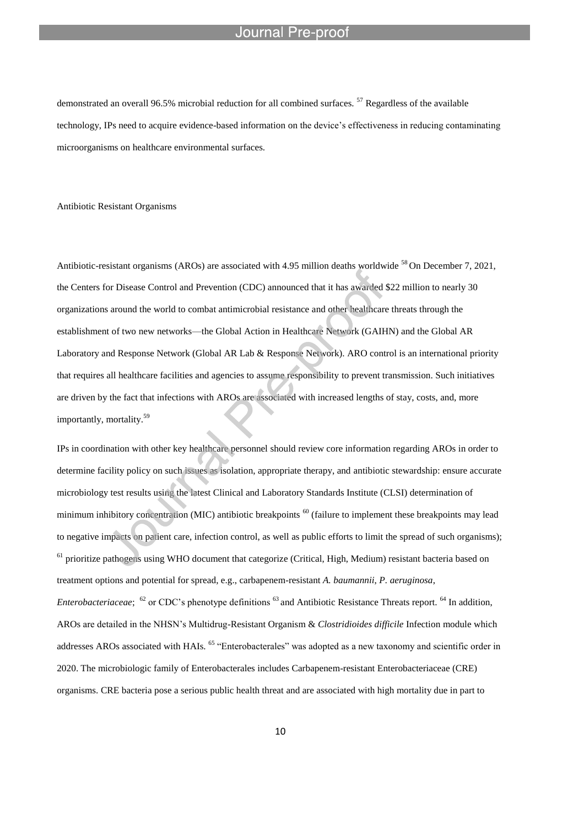l

demonstrated an overall 96.5% microbial reduction for all combined surfaces.<sup>57</sup> Regardless of the available technology, IPs need to acquire evidence-based information on the device's effectiveness in reducing contaminating microorganisms on healthcare environmental surfaces.

### Antibiotic Resistant Organisms

Antibiotic-resistant organisms (AROs) are associated with 4.95 million deaths worldwide <sup>58</sup> On December 7, 2021, the Centers for Disease Control and Prevention (CDC) announced that it has awarded \$22 million to nearly 30 organizations around the world to combat antimicrobial resistance and other healthcare threats through the establishment of two new networks—the Global Action in Healthcare Network (GAIHN) and the Global AR Laboratory and Response Network (Global AR Lab & Response Network). ARO control is an international priority that requires all healthcare facilities and agencies to assume responsibility to prevent transmission. Such initiatives are driven by the fact that infections with AROs are associated with increased lengths of stay, costs, and, more importantly, mortality.<sup>59</sup>

IPs in coordination with other key healthcare personnel should review core information regarding AROs in order to determine facility policy on such issues as isolation, appropriate therapy, and antibiotic stewardship: ensure accurate microbiology test results using the latest Clinical and Laboratory Standards Institute (CLSI) determination of minimum inhibitory concentration (MIC) antibiotic breakpoints <sup>60</sup> (failure to implement these breakpoints may lead to negative impacts on patient care, infection control, as well as public efforts to limit the spread of such organisms);  $<sup>61</sup>$  prioritize pathogens using WHO document that categorize (Critical, High, Medium) resistant bacteria based on</sup> treatment options and potential for spread, e.g., carbapenem-resistant *A. baumannii*, *P. aeruginosa*, *Enterobacteriaceae*; <sup>62</sup> or CDC's phenotype definitions <sup>63</sup> and Antibiotic Resistance Threats report. <sup>64</sup> In addition, AROs are detailed in the NHSN's Multidrug-Resistant Organism & *Clostridioides difficile* Infection module which addresses AROs associated with HAIs. <sup>65</sup> "Enterobacterales" was adopted as a new taxonomy and scientific order in 2020. The microbiologic family of Enterobacterales includes Carbapenem-resistant Enterobacteriaceae (CRE) organisms. CRE bacteria pose a serious public health threat and are associated with high mortality due in part to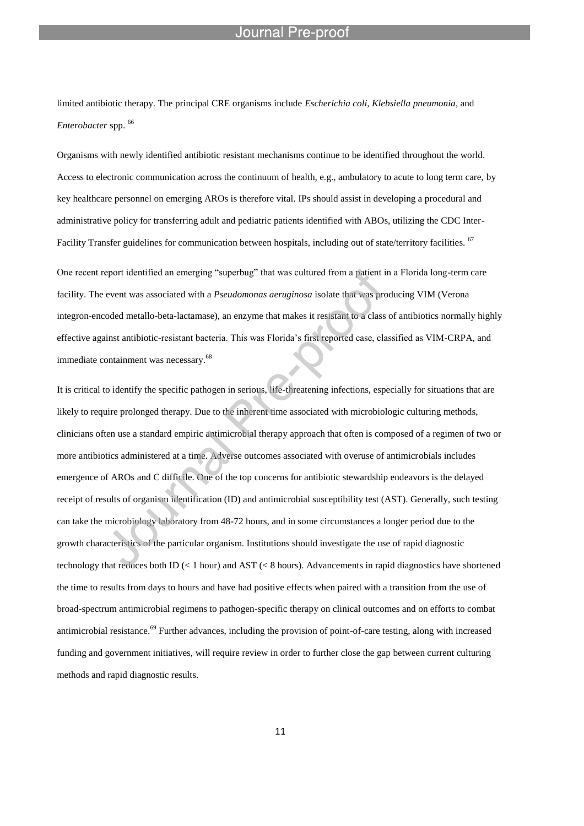limited antibiotic therapy. The principal CRE organisms include *Escherichia coli*, *Klebsiella pneumonia*, and *Enterobacter* spp. <sup>66</sup>

l

Organisms with newly identified antibiotic resistant mechanisms continue to be identified throughout the world. Access to electronic communication across the continuum of health, e.g., ambulatory to acute to long term care, by key healthcare personnel on emerging AROs is therefore vital. IPs should assist in developing a procedural and administrative policy for transferring adult and pediatric patients identified with ABOs, utilizing the CDC Inter-Facility Transfer guidelines for communication between hospitals, including out of state/territory facilities. <sup>67</sup>

One recent report identified an emerging "superbug" that was cultured from a patient in a Florida long-term care facility. The event was associated with a *Pseudomonas aeruginosa* isolate that was producing VIM (Verona integron-encoded metallo-beta-lactamase), an enzyme that makes it resistant to a class of antibiotics normally highly effective against antibiotic-resistant bacteria. This was Florida's first reported case, classified as VIM-CRPA, and immediate containment was necessary.<sup>68</sup>

It is critical to identify the specific pathogen in serious, life-threatening infections, especially for situations that are likely to require prolonged therapy. Due to the inherent time associated with microbiologic culturing methods, clinicians often use a standard empiric antimicrobial therapy approach that often is composed of a regimen of two or more antibiotics administered at a time. Adverse outcomes associated with overuse of antimicrobials includes emergence of AROs and C difficile. One of the top concerns for antibiotic stewardship endeavors is the delayed receipt of results of organism identification (ID) and antimicrobial susceptibility test (AST). Generally, such testing can take the microbiology laboratory from 48-72 hours, and in some circumstances a longer period due to the growth characteristics of the particular organism. Institutions should investigate the use of rapid diagnostic technology that reduces both ID ( $\lt 1$  hour) and AST ( $\lt 8$  hours). Advancements in rapid diagnostics have shortened the time to results from days to hours and have had positive effects when paired with a transition from the use of broad-spectrum antimicrobial regimens to pathogen-specific therapy on clinical outcomes and on efforts to combat antimicrobial resistance.<sup>69</sup> Further advances, including the provision of point-of-care testing, along with increased funding and government initiatives, will require review in order to further close the gap between current culturing methods and rapid diagnostic results.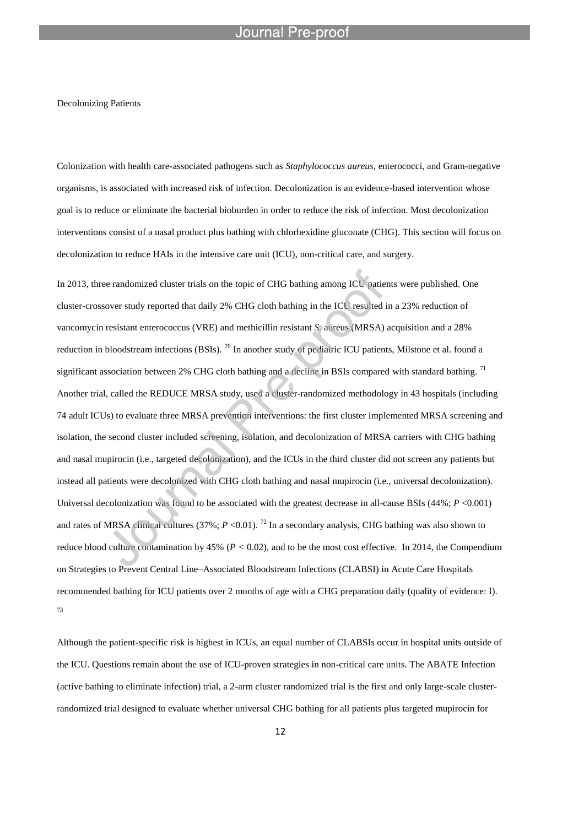### Decolonizing Patients

Colonization with health care-associated pathogens such as *Staphylococcus aureus*, enterococci, and Gram-negative organisms, is associated with increased risk of infection. Decolonization is an evidence-based intervention whose goal is to reduce or eliminate the bacterial bioburden in order to reduce the risk of infection. Most decolonization interventions consist of a nasal product plus bathing with chlorhexidine gluconate (CHG). This section will focus on decolonization to reduce HAIs in the intensive care unit (ICU), non-critical care, and surgery.

In 2013, three randomized cluster trials on the topic of CHG bathing among ICU patients were published. One cluster-crossover study reported that daily 2% CHG cloth bathing in the ICU resulted in a 23% reduction of vancomycin resistant enterococcus (VRE) and methicillin resistant *S.* aureus (MRSA) acquisition and a 28% reduction in bloodstream infections (BSIs). <sup>70</sup> In another study of pediatric ICU patients, Milstone et al. found a significant association between 2% CHG cloth bathing and a decline in BSIs compared with standard bathing.<sup>71</sup> Another trial, called the REDUCE MRSA study, used a cluster-randomized methodology in 43 hospitals (including 74 adult ICUs) to evaluate three MRSA prevention interventions: the first cluster implemented MRSA screening and isolation, the second cluster included screening, isolation, and decolonization of MRSA carriers with CHG bathing and nasal mupirocin (i.e., targeted decolonization), and the ICUs in the third cluster did not screen any patients but instead all patients were decolonized with CHG cloth bathing and nasal mupirocin (i.e., universal decolonization). Universal decolonization was found to be associated with the greatest decrease in all-cause BSIs (44%; *P* <0.001) and rates of MRSA clinical cultures (37%;  $P \le 0.01$ ). <sup>72</sup> In a secondary analysis, CHG bathing was also shown to reduce blood culture contamination by 45% (*P <* 0.02), and to be the most cost effective. In 2014, the Compendium on Strategies to Prevent Central Line–Associated Bloodstream Infections (CLABSI) in Acute Care Hospitals recommended bathing for ICU patients over 2 months of age with a CHG preparation daily (quality of evidence: I). 73

Although the patient-specific risk is highest in ICUs, an equal number of CLABSIs occur in hospital units outside of the ICU. Questions remain about the use of ICU-proven strategies in non-critical care units. The ABATE Infection (active bathing to eliminate infection) trial, a 2-arm cluster randomized trial is the first and only large-scale clusterrandomized trial designed to evaluate whether universal CHG bathing for all patients plus targeted mupirocin for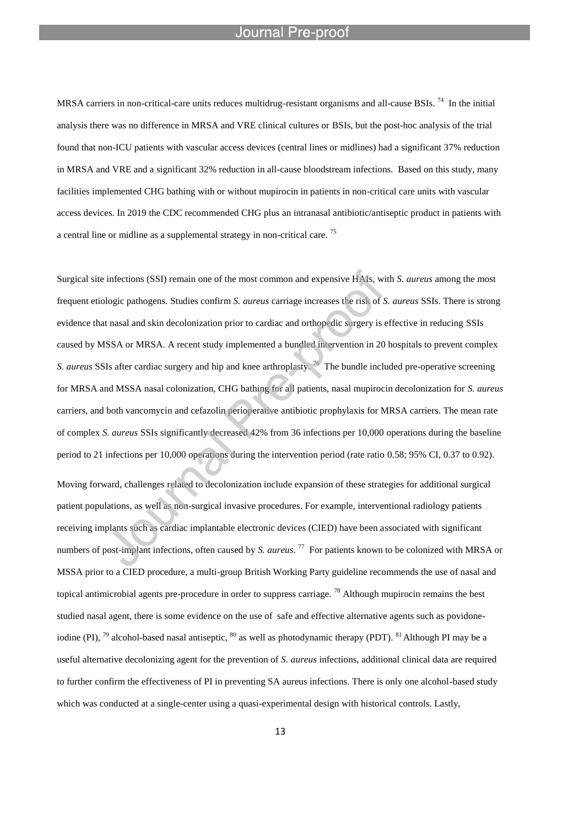MRSA carriers in non-critical-care units reduces multidrug-resistant organisms and all-cause BSIs.  $^{74}$  In the initial analysis there was no difference in MRSA and VRE clinical cultures or BSIs, but the post-hoc analysis of the trial found that non-ICU patients with vascular access devices (central lines or midlines) had a significant 37% reduction in MRSA and VRE and a significant 32% reduction in all-cause bloodstream infections. Based on this study, many facilities implemented CHG bathing with or without mupirocin in patients in non-critical care units with vascular access devices. In 2019 the CDC recommended CHG plus an intranasal antibiotic/antiseptic product in patients with a central line or midline as a supplemental strategy in non-critical care. <sup>75</sup>

Surgical site infections (SSI) remain one of the most common and expensive HAIs, with *S. aureus* among the most frequent etiologic pathogens. Studies confirm *S. aureus* carriage increases the risk of *S. aureus* SSIs. There is strong evidence that nasal and skin decolonization prior to cardiac and orthopedic surgery is effective in reducing SSIs caused by MSSA or MRSA. A recent study implemented a bundled intervention in 20 hospitals to prevent complex S. *aureus* SSIs after cardiac surgery and hip and knee arthroplasty.<sup>76</sup> The bundle included pre-operative screening for MRSA and MSSA nasal colonization, CHG bathing for all patients, nasal mupirocin decolonization for *S. aureus*  carriers, and both vancomycin and cefazolin perioperative antibiotic prophylaxis for MRSA carriers. The mean rate of complex *S. aureus* SSIs significantly decreased 42% from 36 infections per 10,000 operations during the baseline period to 21 infections per 10,000 operations during the intervention period (rate ratio 0.58; 95% CI, 0.37 to 0.92).

Moving forward, challenges related to decolonization include expansion of these strategies for additional surgical patient populations, as well as non-surgical invasive procedures. For example, interventional radiology patients receiving implants such as cardiac implantable electronic devices (CIED) have been associated with significant numbers of post-implant infections, often caused by *S. aureus*. 77 For patients known to be colonized with MRSA or MSSA prior to a CIED procedure, a multi-group British Working Party guideline recommends the use of nasal and topical antimicrobial agents pre-procedure in order to suppress carriage.<sup>78</sup> Although mupirocin remains the best studied nasal agent, there is some evidence on the use of safe and effective alternative agents such as povidoneiodine (PI), <sup>79</sup> alcohol-based nasal antiseptic, <sup>80</sup> as well as photodynamic therapy (PDT). <sup>81</sup> Although PI may be a useful alternative decolonizing agent for the prevention of *S. aureus* infections, additional clinical data are required to further confirm the effectiveness of PI in preventing SA aureus infections. There is only one alcohol-based study which was conducted at a single-center using a quasi-experimental design with historical controls. Lastly,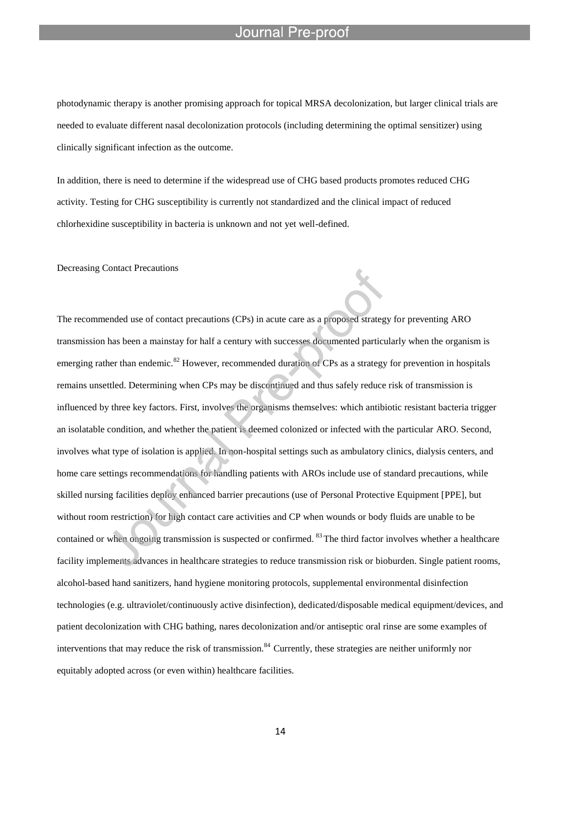l

photodynamic therapy is another promising approach for topical MRSA decolonization, but larger clinical trials are needed to evaluate different nasal decolonization protocols (including determining the optimal sensitizer) using clinically significant infection as the outcome.

In addition, there is need to determine if the widespread use of CHG based products promotes reduced CHG activity. Testing for CHG susceptibility is currently not standardized and the clinical impact of reduced chlorhexidine susceptibility in bacteria is unknown and not yet well-defined.

Decreasing Contact Precautions

The recommended use of contact precautions (CPs) in acute care as a proposed strategy for preventing ARO transmission has been a mainstay for half a century with successes documented particularly when the organism is emerging rather than endemic.<sup>82</sup> However, recommended duration of CPs as a strategy for prevention in hospitals remains unsettled. Determining when CPs may be discontinued and thus safely reduce risk of transmission is influenced by three key factors. First, involves the organisms themselves: which antibiotic resistant bacteria trigger an isolatable condition, and whether the patient is deemed colonized or infected with the particular ARO. Second, involves what type of isolation is applied. In non-hospital settings such as ambulatory clinics, dialysis centers, and home care settings recommendations for handling patients with AROs include use of standard precautions, while skilled nursing facilities deploy enhanced barrier precautions (use of Personal Protective Equipment [PPE], but without room restriction) for high contact care activities and CP when wounds or body fluids are unable to be contained or when ongoing transmission is suspected or confirmed. <sup>83</sup> The third factor involves whether a healthcare facility implements advances in healthcare strategies to reduce transmission risk or bioburden. Single patient rooms, alcohol-based hand sanitizers, hand hygiene monitoring protocols, supplemental environmental disinfection technologies (e.g. ultraviolet/continuously active disinfection), dedicated/disposable medical equipment/devices, and patient decolonization with CHG bathing, nares decolonization and/or antiseptic oral rinse are some examples of interventions that may reduce the risk of transmission.<sup>84</sup> Currently, these strategies are neither uniformly nor equitably adopted across (or even within) healthcare facilities.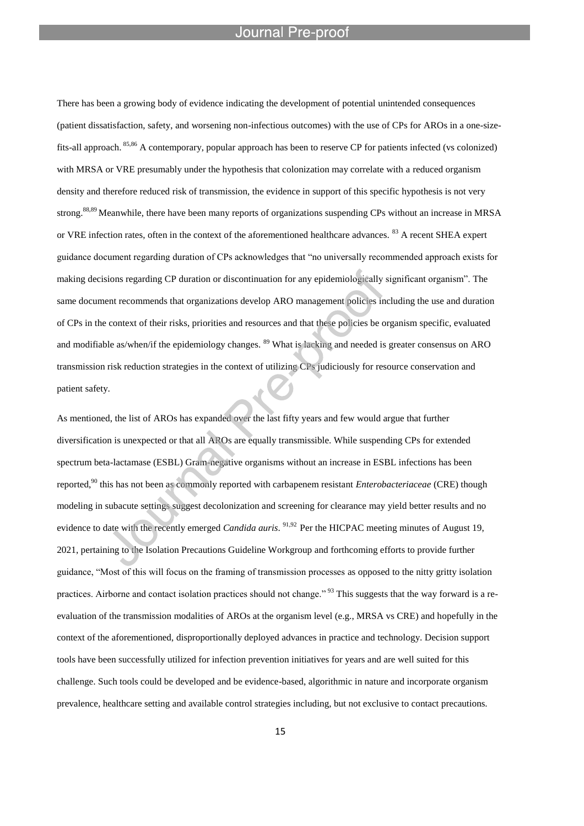l

There has been a growing body of evidence indicating the development of potential unintended consequences (patient dissatisfaction, safety, and worsening non-infectious outcomes) with the use of CPs for AROs in a one-sizefits-all approach. 85,86 A contemporary, popular approach has been to reserve CP for patients infected (vs colonized) with MRSA or VRE presumably under the hypothesis that colonization may correlate with a reduced organism density and therefore reduced risk of transmission, the evidence in support of this specific hypothesis is not very strong.<sup>88,89</sup> Meanwhile, there have been many reports of organizations suspending CPs without an increase in MRSA or VRE infection rates, often in the context of the aforementioned healthcare advances. <sup>83</sup> A recent SHEA expert guidance document regarding duration of CPs acknowledges that "no universally recommended approach exists for making decisions regarding CP duration or discontinuation for any epidemiologically significant organism". The same document recommends that organizations develop ARO management policies including the use and duration of CPs in the context of their risks, priorities and resources and that these policies be organism specific, evaluated and modifiable as/when/if the epidemiology changes. <sup>89</sup> What is lacking and needed is greater consensus on ARO transmission risk reduction strategies in the context of utilizing CPs judiciously for resource conservation and patient safety.

As mentioned, the list of AROs has expanded over the last fifty years and few would argue that further diversification is unexpected or that all AROs are equally transmissible. While suspending CPs for extended spectrum beta-lactamase (ESBL) Gram-negative organisms without an increase in ESBL infections has been reported,<sup>90</sup> this has not been as commonly reported with carbapenem resistant *Enterobacteriaceae* (CRE) though modeling in subacute settings suggest decolonization and screening for clearance may yield better results and no evidence to date with the recently emerged *Candida auris*. 91,92 Per the HICPAC meeting minutes of August 19, 2021, pertaining to the Isolation Precautions Guideline Workgroup and forthcoming efforts to provide further guidance, "Most of this will focus on the framing of transmission processes as opposed to the nitty gritty isolation practices. Airborne and contact isolation practices should not change."<sup>93</sup> This suggests that the way forward is a reevaluation of the transmission modalities of AROs at the organism level (e.g., MRSA vs CRE) and hopefully in the context of the aforementioned, disproportionally deployed advances in practice and technology. Decision support tools have been successfully utilized for infection prevention initiatives for years and are well suited for this challenge. Such tools could be developed and be evidence-based, algorithmic in nature and incorporate organism prevalence, healthcare setting and available control strategies including, but not exclusive to contact precautions.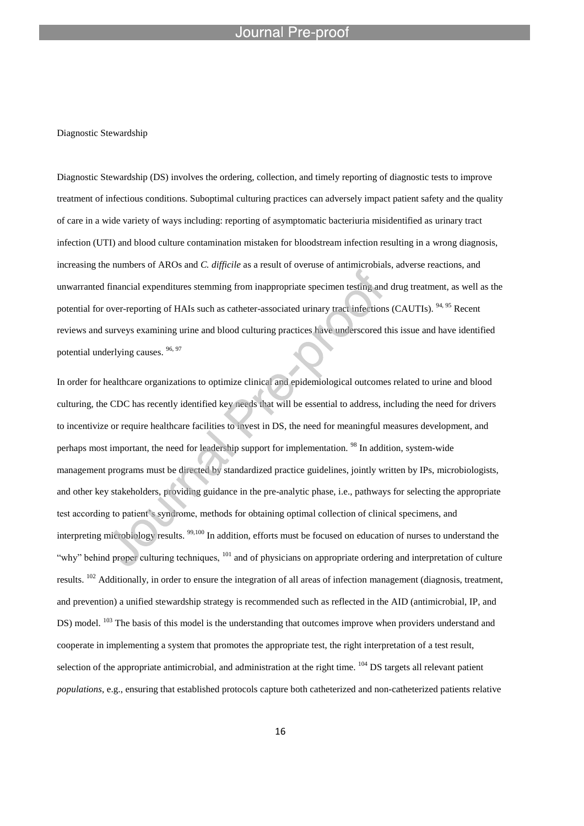### Diagnostic Stewardship

Diagnostic Stewardship (DS) involves the ordering, collection, and timely reporting of diagnostic tests to improve treatment of infectious conditions. Suboptimal culturing practices can adversely impact patient safety and the quality of care in a wide variety of ways including: reporting of asymptomatic bacteriuria misidentified as urinary tract infection (UTI) and blood culture contamination mistaken for bloodstream infection resulting in a wrong diagnosis, increasing the numbers of AROs and *C. difficile* as a result of overuse of antimicrobials, adverse reactions, and unwarranted financial expenditures stemming from inappropriate specimen testing and drug treatment, as well as the potential for over-reporting of HAIs such as catheter-associated urinary tract infections (CAUTIs). <sup>94, 95</sup> Recent reviews and surveys examining urine and blood culturing practices have underscored this issue and have identified potential underlying causes. <sup>96, 97</sup>

In order for healthcare organizations to optimize clinical and epidemiological outcomes related to urine and blood culturing, the CDC has recently identified key needs that will be essential to address, including the need for drivers to incentivize or require healthcare facilities to invest in DS, the need for meaningful measures development, and perhaps most important, the need for leadership support for implementation. <sup>98</sup> In addition, system-wide management programs must be directed by standardized practice guidelines, jointly written by IPs, microbiologists, and other key stakeholders, providing guidance in the pre-analytic phase, i.e., pathways for selecting the appropriate test according to patient's syndrome, methods for obtaining optimal collection of clinical specimens, and interpreting microbiology results. <sup>99,100</sup> In addition, efforts must be focused on education of nurses to understand the "why" behind proper culturing techniques, <sup>101</sup> and of physicians on appropriate ordering and interpretation of culture results. <sup>102</sup> Additionally, in order to ensure the integration of all areas of infection management (diagnosis, treatment, and prevention) a unified stewardship strategy is recommended such as reflected in the AID (antimicrobial, IP, and DS) model. <sup>103</sup> The basis of this model is the understanding that outcomes improve when providers understand and cooperate in implementing a system that promotes the appropriate test, the right interpretation of a test result, selection of the appropriate antimicrobial, and administration at the right time. <sup>104</sup> DS targets all relevant patient *populations*, e.g., ensuring that established protocols capture both catheterized and non-catheterized patients relative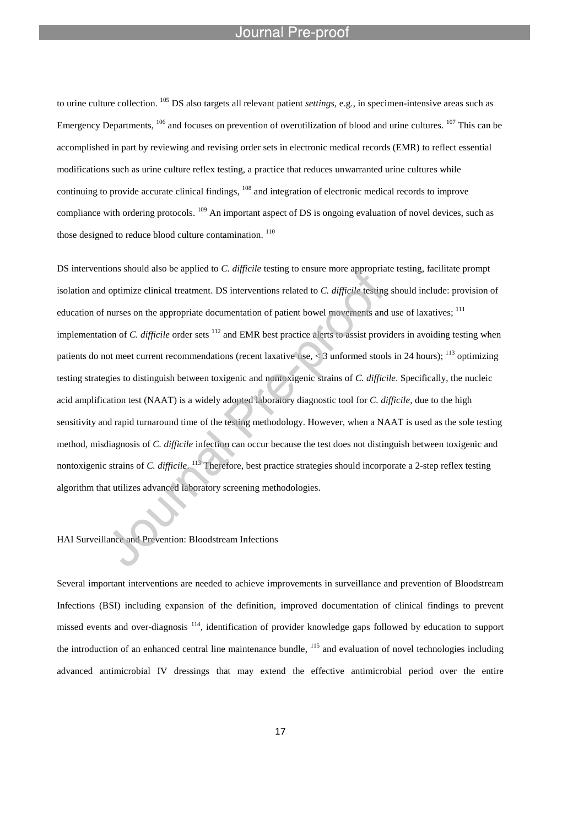l

to urine culture collection. <sup>105</sup> DS also targets all relevant patient *settings*, e.g., in specimen-intensive areas such as Emergency Departments, <sup>106</sup> and focuses on prevention of overutilization of blood and urine cultures. <sup>107</sup> This can be accomplished in part by reviewing and revising order sets in electronic medical records (EMR) to reflect essential modifications such as urine culture reflex testing, a practice that reduces unwarranted urine cultures while continuing to provide accurate clinical findings, <sup>108</sup> and integration of electronic medical records to improve compliance with ordering protocols. <sup>109</sup> An important aspect of DS is ongoing evaluation of novel devices, such as those designed to reduce blood culture contamination. <sup>110</sup>

DS interventions should also be applied to *C. difficile* testing to ensure more appropriate testing, facilitate prompt isolation and optimize clinical treatment. DS interventions related to *C. difficile* testing should include: provision of education of nurses on the appropriate documentation of patient bowel movements and use of laxatives; <sup>111</sup> implementation of *C. difficile* order sets <sup>112</sup> and EMR best practice alerts to assist providers in avoiding testing when patients do not meet current recommendations (recent laxative use,  $\leq$  3 unformed stools in 24 hours); <sup>113</sup> optimizing testing strategies to distinguish between toxigenic and nontoxigenic strains of *C. difficile*. Specifically, the nucleic acid amplification test (NAAT) is a widely adopted laboratory diagnostic tool for *C. difficile*, due to the high sensitivity and rapid turnaround time of the testing methodology. However, when a NAAT is used as the sole testing method, misdiagnosis of *C. difficile* infection can occur because the test does not distinguish between toxigenic and nontoxigenic strains of *C. difficile*. <sup>113</sup> Therefore, best practice strategies should incorporate a 2-step reflex testing algorithm that utilizes advanced laboratory screening methodologies.

# HAI Surveillance and Prevention: Bloodstream Infections

Several important interventions are needed to achieve improvements in surveillance and prevention of Bloodstream Infections (BSI) including expansion of the definition, improved documentation of clinical findings to prevent missed events and over-diagnosis<sup>114</sup>, identification of provider knowledge gaps followed by education to support the introduction of an enhanced central line maintenance bundle,  $^{115}$  and evaluation of novel technologies including advanced antimicrobial IV dressings that may extend the effective antimicrobial period over the entire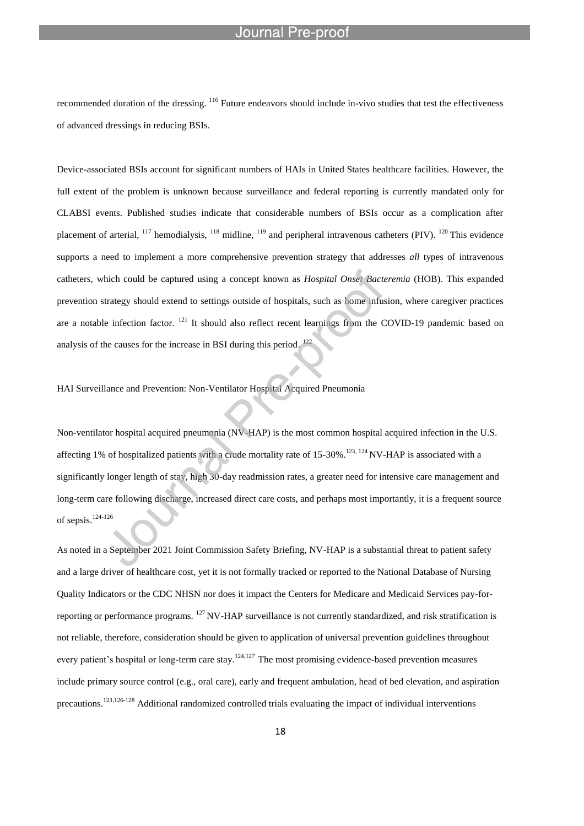recommended duration of the dressing. <sup>116</sup> Future endeavors should include in-vivo studies that test the effectiveness of advanced dressings in reducing BSIs.

Device-associated BSIs account for significant numbers of HAIs in United States healthcare facilities. However, the full extent of the problem is unknown because surveillance and federal reporting is currently mandated only for CLABSI events. Published studies indicate that considerable numbers of BSIs occur as a complication after placement of arterial,  $^{117}$  hemodialysis,  $^{118}$  midline,  $^{119}$  and peripheral intravenous catheters (PIV).  $^{120}$  This evidence supports a need to implement a more comprehensive prevention strategy that addresses *all* types of intravenous catheters, which could be captured using a concept known as *Hospital Onset Bacteremia* (HOB). This expanded prevention strategy should extend to settings outside of hospitals, such as home infusion, where caregiver practices are a notable infection factor. <sup>121</sup> It should also reflect recent learnings from the COVID-19 pandemic based on analysis of the causes for the increase in BSI during this period.  $^{122}$ 

# HAI Surveillance and Prevention: Non-Ventilator Hospital Acquired Pneumonia

l

Non-ventilator hospital acquired pneumonia (NV-HAP) is the most common hospital acquired infection in the U.S. affecting 1% of hospitalized patients with a crude mortality rate of 15-30%.<sup>123, 124</sup> NV-HAP is associated with a significantly longer length of stay, high 30-day readmission rates, a greater need for intensive care management and long-term care following discharge, increased direct care costs, and perhaps most importantly, it is a frequent source of sepsis.124-126

As noted in a September 2021 Joint Commission Safety Briefing, NV-HAP is a substantial threat to patient safety and a large driver of healthcare cost, yet it is not formally tracked or reported to the National Database of Nursing Quality Indicators or the CDC NHSN nor does it impact the Centers for Medicare and Medicaid Services pay-forreporting or performance programs.  $^{127}$  NV-HAP surveillance is not currently standardized, and risk stratification is not reliable, therefore, consideration should be given to application of universal prevention guidelines throughout every patient's hospital or long-term care stay.<sup>124,127</sup> The most promising evidence-based prevention measures include primary source control (e.g., oral care), early and frequent ambulation, head of bed elevation, and aspiration precautions.123,126-128 Additional randomized controlled trials evaluating the impact of individual interventions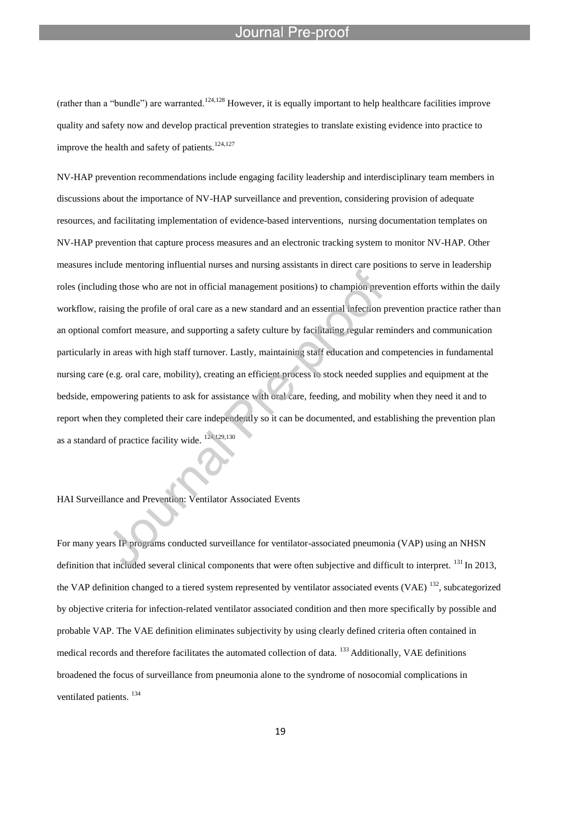(rather than a "bundle") are warranted.<sup>124,128</sup> However, it is equally important to help healthcare facilities improve quality and safety now and develop practical prevention strategies to translate existing evidence into practice to improve the health and safety of patients. $124,127$ 

l

NV-HAP prevention recommendations include engaging facility leadership and interdisciplinary team members in discussions about the importance of NV-HAP surveillance and prevention, considering provision of adequate resources, and facilitating implementation of evidence-based interventions, nursing documentation templates on NV-HAP prevention that capture process measures and an electronic tracking system to monitor NV-HAP. Other measures include mentoring influential nurses and nursing assistants in direct care positions to serve in leadership roles (including those who are not in official management positions) to champion prevention efforts within the daily workflow, raising the profile of oral care as a new standard and an essential infection prevention practice rather than an optional comfort measure, and supporting a safety culture by facilitating regular reminders and communication particularly in areas with high staff turnover. Lastly, maintaining staff education and competencies in fundamental nursing care (e.g. oral care, mobility), creating an efficient process to stock needed supplies and equipment at the bedside, empowering patients to ask for assistance with oral care, feeding, and mobility when they need it and to report when they completed their care independently so it can be documented, and establishing the prevention plan as a standard of practice facility wide. 124,129,130

# HAI Surveillance and Prevention: Ventilator Associated Events

For many years IP programs conducted surveillance for ventilator-associated pneumonia (VAP) using an NHSN definition that included several clinical components that were often subjective and difficult to interpret. <sup>131</sup> In 2013, the VAP definition changed to a tiered system represented by ventilator associated events (VAE)  $^{132}$ , subcategorized by objective criteria for infection-related ventilator associated condition and then more specifically by possible and probable VAP. The VAE definition eliminates subjectivity by using clearly defined criteria often contained in medical records and therefore facilitates the automated collection of data. <sup>133</sup> Additionally, VAE definitions broadened the focus of surveillance from pneumonia alone to the syndrome of nosocomial complications in ventilated patients.<sup>134</sup>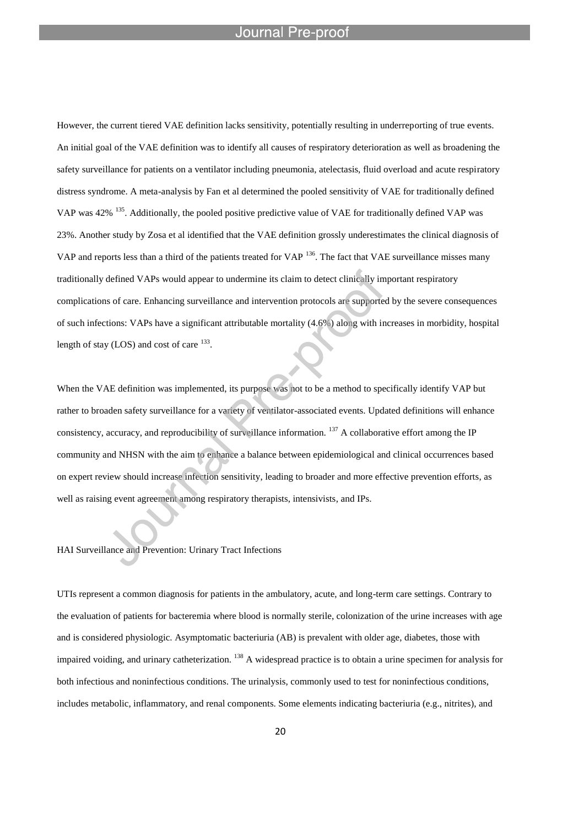However, the current tiered VAE definition lacks sensitivity, potentially resulting in underreporting of true events. An initial goal of the VAE definition was to identify all causes of respiratory deterioration as well as broadening the safety surveillance for patients on a ventilator including pneumonia, atelectasis, fluid overload and acute respiratory distress syndrome. A meta-analysis by Fan et al determined the pooled sensitivity of VAE for traditionally defined VAP was 42% <sup>135</sup>. Additionally, the pooled positive predictive value of VAE for traditionally defined VAP was 23%. Another study by Zosa et al identified that the VAE definition grossly underestimates the clinical diagnosis of VAP and reports less than a third of the patients treated for VAP <sup>136</sup>. The fact that VAE surveillance misses many traditionally defined VAPs would appear to undermine its claim to detect clinically important respiratory complications of care. Enhancing surveillance and intervention protocols are supported by the severe consequences of such infections: VAPs have a significant attributable mortality (4.6%) along with increases in morbidity, hospital length of stay (LOS) and cost of care  $^{133}$ .

When the VAE definition was implemented, its purpose was not to be a method to specifically identify VAP but rather to broaden safety surveillance for a variety of ventilator-associated events. Updated definitions will enhance consistency, accuracy, and reproducibility of surveillance information. <sup>137</sup> A collaborative effort among the IP community and NHSN with the aim to enhance a balance between epidemiological and clinical occurrences based on expert review should increase infection sensitivity, leading to broader and more effective prevention efforts, as well as raising event agreement among respiratory therapists, intensivists, and IPs.

HAI Surveillance and Prevention: Urinary Tract Infections

UTIs represent a common diagnosis for patients in the ambulatory, acute, and long-term care settings. Contrary to the evaluation of patients for bacteremia where blood is normally sterile, colonization of the urine increases with age and is considered physiologic. Asymptomatic bacteriuria (AB) is prevalent with older age, diabetes, those with impaired voiding, and urinary catheterization. <sup>138</sup> A widespread practice is to obtain a urine specimen for analysis for both infectious and noninfectious conditions. The urinalysis, commonly used to test for noninfectious conditions, includes metabolic, inflammatory, and renal components. Some elements indicating bacteriuria (e.g., nitrites), and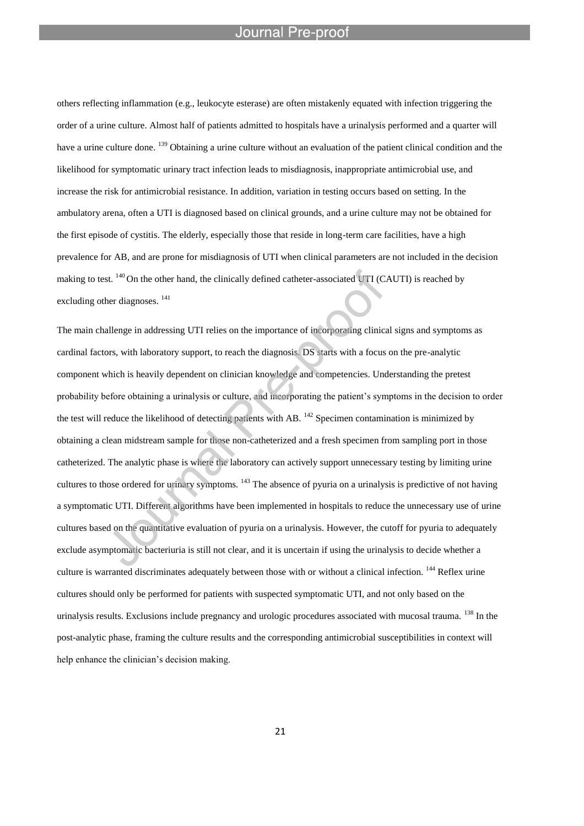others reflecting inflammation (e.g., leukocyte esterase) are often mistakenly equated with infection triggering the order of a urine culture. Almost half of patients admitted to hospitals have a urinalysis performed and a quarter will have a urine culture done. <sup>139</sup> Obtaining a urine culture without an evaluation of the patient clinical condition and the likelihood for symptomatic urinary tract infection leads to misdiagnosis, inappropriate antimicrobial use, and increase the risk for antimicrobial resistance. In addition, variation in testing occurs based on setting. In the ambulatory arena, often a UTI is diagnosed based on clinical grounds, and a urine culture may not be obtained for the first episode of cystitis. The elderly, especially those that reside in long-term care facilities, have a high prevalence for AB, and are prone for misdiagnosis of UTI when clinical parameters are not included in the decision making to test. <sup>140</sup> On the other hand, the clinically defined catheter-associated UTI (CAUTI) is reached by excluding other diagnoses. <sup>141</sup>

The main challenge in addressing UTI relies on the importance of incorporating clinical signs and symptoms as cardinal factors, with laboratory support, to reach the diagnosis. DS starts with a focus on the pre-analytic component which is heavily dependent on clinician knowledge and competencies. Understanding the pretest probability before obtaining a urinalysis or culture, and incorporating the patient's symptoms in the decision to order the test will reduce the likelihood of detecting patients with AB. <sup>142</sup> Specimen contamination is minimized by obtaining a clean midstream sample for those non-catheterized and a fresh specimen from sampling port in those catheterized. The analytic phase is where the laboratory can actively support unnecessary testing by limiting urine cultures to those ordered for urinary symptoms. <sup>143</sup> The absence of pyuria on a urinalysis is predictive of not having a symptomatic UTI. Different algorithms have been implemented in hospitals to reduce the unnecessary use of urine cultures based on the quantitative evaluation of pyuria on a urinalysis. However, the cutoff for pyuria to adequately exclude asymptomatic bacteriuria is still not clear, and it is uncertain if using the urinalysis to decide whether a culture is warranted discriminates adequately between those with or without a clinical infection. <sup>144</sup> Reflex urine cultures should only be performed for patients with suspected symptomatic UTI, and not only based on the urinalysis results. Exclusions include pregnancy and urologic procedures associated with mucosal trauma. <sup>138</sup> In the post-analytic phase, framing the culture results and the corresponding antimicrobial susceptibilities in context will help enhance the clinician's decision making.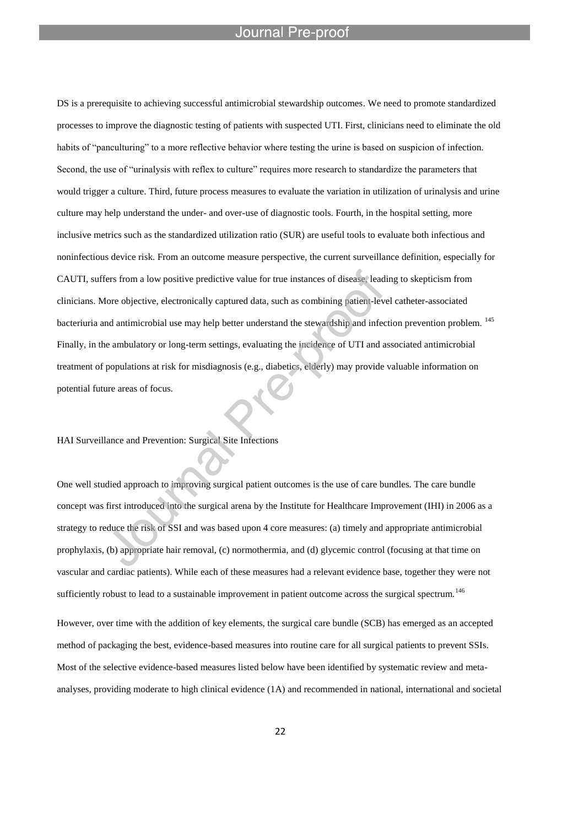l

DS is a prerequisite to achieving successful antimicrobial stewardship outcomes. We need to promote standardized processes to improve the diagnostic testing of patients with suspected UTI. First, clinicians need to eliminate the old habits of "panculturing" to a more reflective behavior where testing the urine is based on suspicion of infection. Second, the use of "urinalysis with reflex to culture" requires more research to standardize the parameters that would trigger a culture. Third, future process measures to evaluate the variation in utilization of urinalysis and urine culture may help understand the under- and over-use of diagnostic tools. Fourth, in the hospital setting, more inclusive metrics such as the standardized utilization ratio (SUR) are useful tools to evaluate both infectious and noninfectious device risk. From an outcome measure perspective, the current surveillance definition, especially for CAUTI, suffers from a low positive predictive value for true instances of disease, leading to skepticism from clinicians. More objective, electronically captured data, such as combining patient-level catheter-associated bacteriuria and antimicrobial use may help better understand the stewardship and infection prevention problem. <sup>145</sup> Finally, in the ambulatory or long-term settings, evaluating the incidence of UTI and associated antimicrobial treatment of populations at risk for misdiagnosis (e.g., diabetics, elderly) may provide valuable information on potential future areas of focus.

# HAI Surveillance and Prevention: Surgical Site Infections

One well studied approach to improving surgical patient outcomes is the use of care bundles. The care bundle concept was first introduced into the surgical arena by the Institute for Healthcare Improvement (IHI) in 2006 as a strategy to reduce the risk of SSI and was based upon 4 core measures: (a) timely and appropriate antimicrobial prophylaxis, (b) appropriate hair removal, (c) normothermia, and (d) glycemic control (focusing at that time on vascular and cardiac patients). While each of these measures had a relevant evidence base, together they were not sufficiently robust to lead to a sustainable improvement in patient outcome across the surgical spectrum.<sup>146</sup>

However, over time with the addition of key elements, the surgical care bundle (SCB) has emerged as an accepted method of packaging the best, evidence-based measures into routine care for all surgical patients to prevent SSIs. Most of the selective evidence-based measures listed below have been identified by systematic review and metaanalyses, providing moderate to high clinical evidence (1A) and recommended in national, international and societal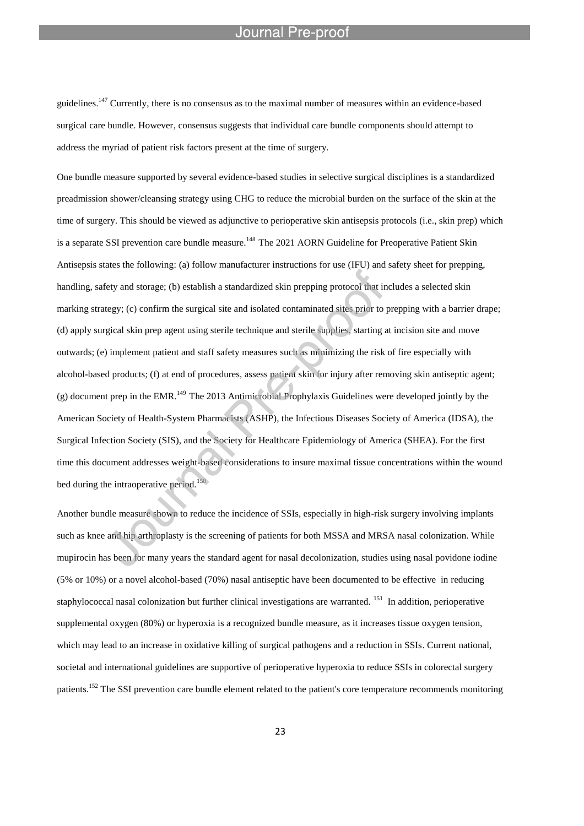guidelines.<sup>147</sup> Currently, there is no consensus as to the maximal number of measures within an evidence-based surgical care bundle. However, consensus suggests that individual care bundle components should attempt to address the myriad of patient risk factors present at the time of surgery.

l

One bundle measure supported by several evidence-based studies in selective surgical disciplines is a standardized preadmission shower/cleansing strategy using CHG to reduce the microbial burden on the surface of the skin at the time of surgery. This should be viewed as adjunctive to perioperative skin antisepsis protocols (i.e., skin prep) which is a separate SSI prevention care bundle measure.<sup>148</sup> The 2021 AORN Guideline for Preoperative Patient Skin Antisepsis states the following: (a) follow manufacturer instructions for use (IFU) and safety sheet for prepping, handling, safety and storage; (b) establish a standardized skin prepping protocol that includes a selected skin marking strategy; (c) confirm the surgical site and isolated contaminated sites prior to prepping with a barrier drape; (d) apply surgical skin prep agent using sterile technique and sterile supplies, starting at incision site and move outwards; (e) implement patient and staff safety measures such as minimizing the risk of fire especially with alcohol-based products; (f) at end of procedures, assess patient skin for injury after removing skin antiseptic agent;  $(g)$  document prep in the EMR.<sup>149</sup> The 2013 Antimicrobial Prophylaxis Guidelines were developed jointly by the American Society of Health-System Pharmacists (ASHP), the Infectious Diseases Society of America (IDSA), the Surgical Infection Society (SIS), and the Society for Healthcare Epidemiology of America (SHEA). For the first time this document addresses weight-based considerations to insure maximal tissue concentrations within the wound bed during the intraoperative period.<sup>150</sup>

Another bundle measure shown to reduce the incidence of SSIs, especially in high-risk surgery involving implants such as knee and hip arthroplasty is the screening of patients for both MSSA and MRSA nasal colonization. While mupirocin has been for many years the standard agent for nasal decolonization, studies using nasal povidone iodine (5% or 10%) or a novel alcohol-based (70%) nasal antiseptic have been documented to be effective in reducing staphylococcal nasal colonization but further clinical investigations are warranted. <sup>151</sup> In addition, perioperative supplemental oxygen (80%) or hyperoxia is a recognized bundle measure, as it increases tissue oxygen tension, which may lead to an increase in oxidative killing of surgical pathogens and a reduction in SSIs. Current national, societal and international guidelines are supportive of perioperative hyperoxia to reduce SSIs in colorectal surgery patients.<sup>152</sup> The SSI prevention care bundle element related to the patient's core temperature recommends monitoring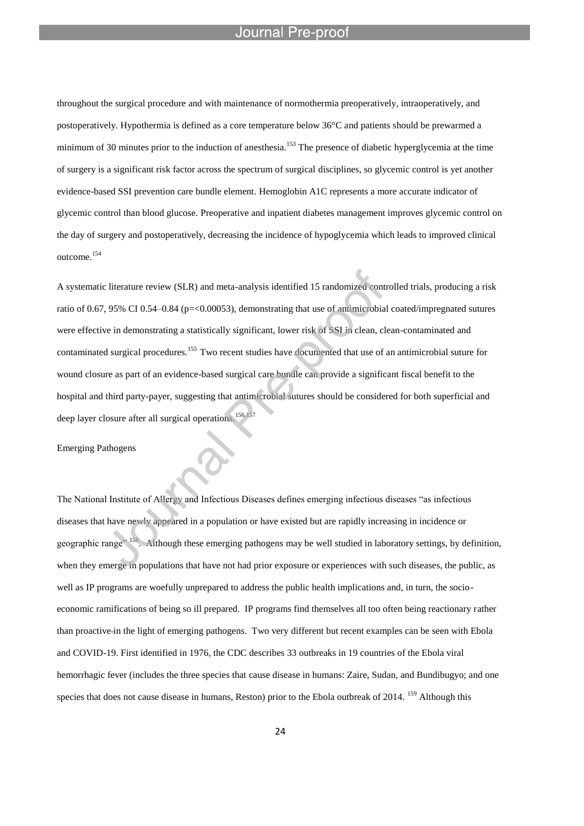throughout the surgical procedure and with maintenance of normothermia preoperatively, intraoperatively, and postoperatively. Hypothermia is defined as a core temperature below 36°C and patients should be prewarmed a minimum of 30 minutes prior to the induction of anesthesia.<sup>153</sup> The presence of diabetic hyperglycemia at the time of surgery is a significant risk factor across the spectrum of surgical disciplines, so glycemic control is yet another evidence-based SSI prevention care bundle element. Hemoglobin A1C represents a more accurate indicator of glycemic control than blood glucose. Preoperative and inpatient diabetes management improves glycemic control on the day of surgery and postoperatively, decreasing the incidence of hypoglycemia which leads to improved clinical outcome.<sup>154</sup>

A systematic literature review (SLR) and meta-analysis identified 15 randomized controlled trials, producing a risk ratio of 0.67, 95% CI 0.54–0.84 (p= $< 0.00053$ ), demonstrating that use of antimicrobial coated/impregnated sutures were effective in demonstrating a statistically significant, lower risk of SSI in clean, clean-contaminated and contaminated surgical procedures.<sup>155</sup> Two recent studies have documented that use of an antimicrobial suture for wound closure as part of an evidence-based surgical care bundle can provide a significant fiscal benefit to the hospital and third party-payer, suggesting that antimicrobial sutures should be considered for both superficial and deep layer closure after all surgical operations.<sup>156,157</sup>

Emerging Pathogens

The National Institute of Allergy and Infectious Diseases defines emerging infectious diseases "as infectious diseases that have newly appeared in a population or have existed but are rapidly increasing in incidence or geographic range" <sup>158</sup>. Although these emerging pathogens may be well studied in laboratory settings, by definition, when they emerge in populations that have not had prior exposure or experiences with such diseases, the public, as well as IP programs are woefully unprepared to address the public health implications and, in turn, the socioeconomic ramifications of being so ill prepared. IP programs find themselves all too often being reactionary rather than proactive in the light of emerging pathogens. Two very different but recent examples can be seen with Ebola and COVID-19. First identified in 1976, the CDC describes 33 outbreaks in 19 countries of the Ebola viral hemorrhagic fever (includes the three species that cause disease in humans: Zaire, Sudan, and Bundibugyo; and one species that does not cause disease in humans, Reston) prior to the Ebola outbreak of 2014. <sup>159</sup> Although this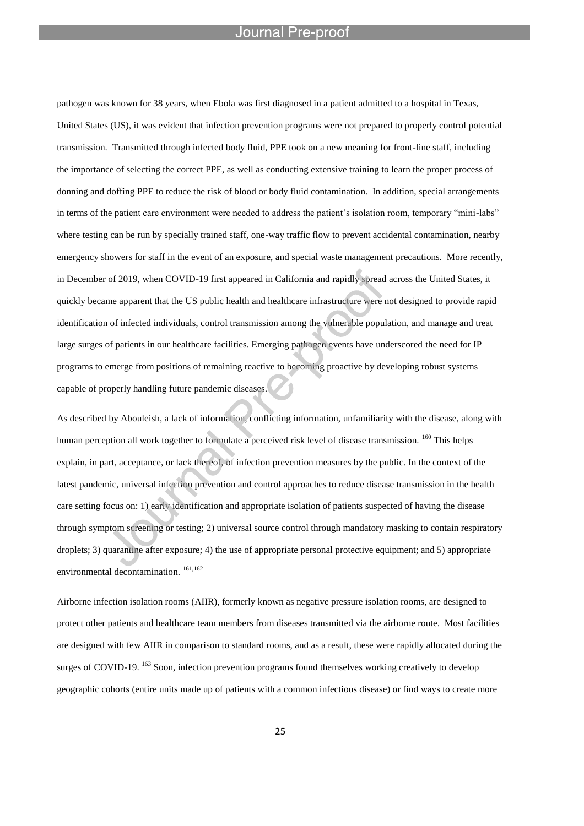l

pathogen was known for 38 years, when Ebola was first diagnosed in a patient admitted to a hospital in Texas, United States (US), it was evident that infection prevention programs were not prepared to properly control potential transmission. Transmitted through infected body fluid, PPE took on a new meaning for front-line staff, including the importance of selecting the correct PPE, as well as conducting extensive training to learn the proper process of donning and doffing PPE to reduce the risk of blood or body fluid contamination. In addition, special arrangements in terms of the patient care environment were needed to address the patient's isolation room, temporary "mini-labs" where testing can be run by specially trained staff, one-way traffic flow to prevent accidental contamination, nearby emergency showers for staff in the event of an exposure, and special waste management precautions. More recently, in December of 2019, when COVID-19 first appeared in California and rapidly spread across the United States, it quickly became apparent that the US public health and healthcare infrastructure were not designed to provide rapid identification of infected individuals, control transmission among the vulnerable population, and manage and treat large surges of patients in our healthcare facilities. Emerging pathogen events have underscored the need for IP programs to emerge from positions of remaining reactive to becoming proactive by developing robust systems capable of properly handling future pandemic diseases.

As described by Abouleish, a lack of information, conflicting information, unfamiliarity with the disease, along with human perception all work together to formulate a perceived risk level of disease transmission. <sup>160</sup> This helps explain, in part, acceptance, or lack thereof, of infection prevention measures by the public. In the context of the latest pandemic, universal infection prevention and control approaches to reduce disease transmission in the health care setting focus on: 1) early identification and appropriate isolation of patients suspected of having the disease through symptom screening or testing; 2) universal source control through mandatory masking to contain respiratory droplets; 3) quarantine after exposure; 4) the use of appropriate personal protective equipment; and 5) appropriate environmental decontamination.<sup>161,162</sup>

Airborne infection isolation rooms (AIIR), formerly known as negative pressure isolation rooms, are designed to protect other patients and healthcare team members from diseases transmitted via the airborne route. Most facilities are designed with few AIIR in comparison to standard rooms, and as a result, these were rapidly allocated during the surges of COVID-19. <sup>163</sup> Soon, infection prevention programs found themselves working creatively to develop geographic cohorts (entire units made up of patients with a common infectious disease) or find ways to create more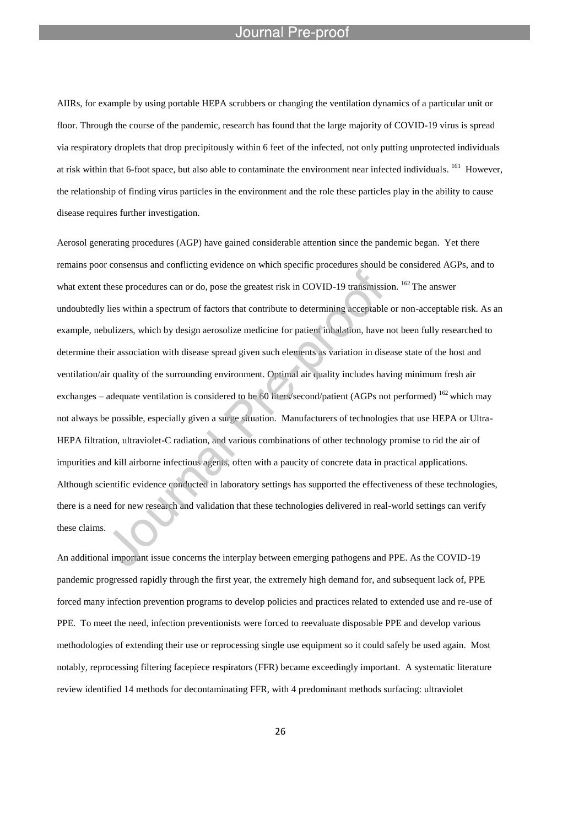l

AIIRs, for example by using portable HEPA scrubbers or changing the ventilation dynamics of a particular unit or floor. Through the course of the pandemic, research has found that the large majority of COVID-19 virus is spread via respiratory droplets that drop precipitously within 6 feet of the infected, not only putting unprotected individuals at risk within that 6-foot space, but also able to contaminate the environment near infected individuals. <sup>161</sup> However, the relationship of finding virus particles in the environment and the role these particles play in the ability to cause disease requires further investigation.

Aerosol generating procedures (AGP) have gained considerable attention since the pandemic began. Yet there remains poor consensus and conflicting evidence on which specific procedures should be considered AGPs, and to what extent these procedures can or do, pose the greatest risk in COVID-19 transmission. <sup>162</sup> The answer undoubtedly lies within a spectrum of factors that contribute to determining acceptable or non-acceptable risk. As an example, nebulizers, which by design aerosolize medicine for patient inhalation, have not been fully researched to determine their association with disease spread given such elements as variation in disease state of the host and ventilation/air quality of the surrounding environment. Optimal air quality includes having minimum fresh air exchanges – adequate ventilation is considered to be 60 liters/second/patient (AGPs not performed) <sup>162</sup> which may not always be possible, especially given a surge situation. Manufacturers of technologies that use HEPA or Ultra-HEPA filtration, ultraviolet-C radiation, and various combinations of other technology promise to rid the air of impurities and kill airborne infectious agents, often with a paucity of concrete data in practical applications. Although scientific evidence conducted in laboratory settings has supported the effectiveness of these technologies, there is a need for new research and validation that these technologies delivered in real-world settings can verify these claims.

An additional important issue concerns the interplay between emerging pathogens and PPE. As the COVID-19 pandemic progressed rapidly through the first year, the extremely high demand for, and subsequent lack of, PPE forced many infection prevention programs to develop policies and practices related to extended use and re-use of PPE. To meet the need, infection preventionists were forced to reevaluate disposable PPE and develop various methodologies of extending their use or reprocessing single use equipment so it could safely be used again. Most notably, reprocessing filtering facepiece respirators (FFR) became exceedingly important. A systematic literature review identified 14 methods for decontaminating FFR, with 4 predominant methods surfacing: ultraviolet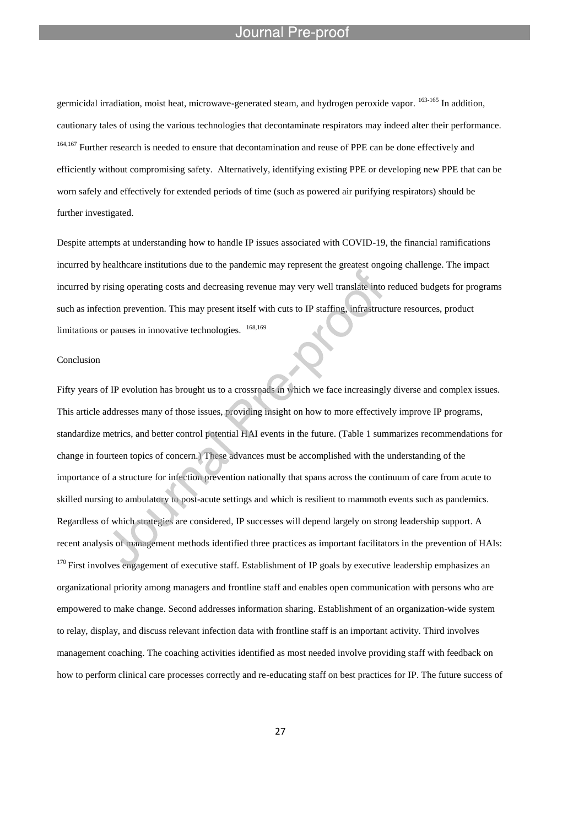germicidal irradiation, moist heat, microwave-generated steam, and hydrogen peroxide vapor. <sup>163-165</sup> In addition, cautionary tales of using the various technologies that decontaminate respirators may indeed alter their performance. <sup>164,167</sup> Further research is needed to ensure that decontamination and reuse of PPE can be done effectively and efficiently without compromising safety. Alternatively, identifying existing PPE or developing new PPE that can be worn safely and effectively for extended periods of time (such as powered air purifying respirators) should be further investigated.

Despite attempts at understanding how to handle IP issues associated with COVID-19, the financial ramifications incurred by healthcare institutions due to the pandemic may represent the greatest ongoing challenge. The impact incurred by rising operating costs and decreasing revenue may very well translate into reduced budgets for programs such as infection prevention. This may present itself with cuts to IP staffing, infrastructure resources, product limitations or pauses in innovative technologies. <sup>168,169</sup>

### Conclusion

Fifty years of IP evolution has brought us to a crossroads in which we face increasingly diverse and complex issues. This article addresses many of those issues, providing insight on how to more effectively improve IP programs, standardize metrics, and better control potential HAI events in the future. (Table 1 summarizes recommendations for change in fourteen topics of concern.) These advances must be accomplished with the understanding of the importance of a structure for infection prevention nationally that spans across the continuum of care from acute to skilled nursing to ambulatory to post-acute settings and which is resilient to mammoth events such as pandemics. Regardless of which strategies are considered, IP successes will depend largely on strong leadership support. A recent analysis of management methods identified three practices as important facilitators in the prevention of HAIs:  $170$  First involves engagement of executive staff. Establishment of IP goals by executive leadership emphasizes an organizational priority among managers and frontline staff and enables open communication with persons who are empowered to make change. Second addresses information sharing. Establishment of an organization-wide system to relay, display, and discuss relevant infection data with frontline staff is an important activity. Third involves management coaching. The coaching activities identified as most needed involve providing staff with feedback on how to perform clinical care processes correctly and re-educating staff on best practices for IP. The future success of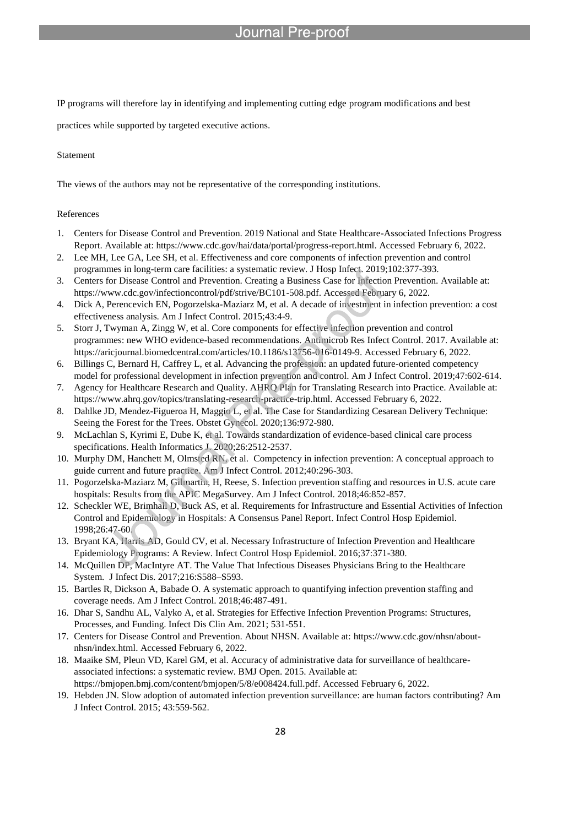# ∙re-nr∩∩

IP programs will therefore lay in identifying and implementing cutting edge program modifications and best

practices while supported by targeted executive actions.

### Statement

The views of the authors may not be representative of the corresponding institutions.

l

# References

- 1. Centers for Disease Control and Prevention. 2019 National and State Healthcare-Associated Infections Progress Report. Available at: https://www.cdc.gov/hai/data/portal/progress-report.html. Accessed February 6, 2022.
- 2. Lee MH, Lee GA, Lee SH, et al. Effectiveness and core components of infection prevention and control programmes in long-term care facilities: a systematic review. J Hosp Infect. 2019;102:377-393.
- 3. Centers for Disease Control and Prevention. Creating a Business Case for Infection Prevention. Available at: https://www.cdc.gov/infectioncontrol/pdf/strive/BC101-508.pdf. Accessed February 6, 2022.
- 4. Dick A, Perencevich EN, Pogorzelska-Maziarz M, et al. A decade of investment in infection prevention: a cost effectiveness analysis. Am J Infect Control. 2015;43:4-9.
- 5. Storr J, Twyman A, Zingg W, et al. Core components for effective infection prevention and control programmes: new WHO evidence-based recommendations. Antimicrob Res Infect Control. 2017. Available at: https://aricjournal.biomedcentral.com/articles/10.1186/s13756-016-0149-9. Accessed February 6, 2022.
- 6. Billings C, Bernard H, Caffrey L, et al. Advancing the profession: an updated future-oriented competency model for professional development in infection prevention and control. Am J Infect Control. 2019;47:602-614.
- 7. Agency for Healthcare Research and Quality. AHRQ Plan for Translating Research into Practice. Available at: https://www.ahrq.gov/topics/translating-research-practice-trip.html. Accessed February 6, 2022.
- 8. Dahlke JD, Mendez-Figueroa H, Maggio L, et al. The Case for Standardizing Cesarean Delivery Technique: Seeing the Forest for the Trees. Obstet Gynecol. 2020;136:972-980.
- 9. McLachlan S, Kyrimi E, Dube K, et al. Towards standardization of evidence-based clinical care process specifications. Health Informatics J. 2020;26:2512-2537.
- 10. Murphy DM, Hanchett M, Olmsted RN, et al. Competency in infection prevention: A conceptual approach to guide current and future practice. Am J Infect Control. 2012;40:296-303.
- 11. Pogorzelska-Maziarz M, Gilmartin, H, Reese, S. Infection prevention staffing and resources in U.S. acute care hospitals: Results from the APIC MegaSurvey. Am J Infect Control. 2018;46:852-857.
- 12. Scheckler WE, Brimhall D, Buck AS, et al. Requirements for Infrastructure and Essential Activities of Infection Control and Epidemiology in Hospitals: A Consensus Panel Report. Infect Control Hosp Epidemiol. 1998;26:47-60.
- 13. Bryant KA, Harris AD, Gould CV, et al. Necessary Infrastructure of Infection Prevention and Healthcare Epidemiology Programs: A Review. Infect Control Hosp Epidemiol. 2016;37:371-380.
- 14. McQuillen DP, MacIntyre AT. The Value That Infectious Diseases Physicians Bring to the Healthcare System. J Infect Dis. 2017;216:S588–S593.
- 15. Bartles R, Dickson A, Babade O. A systematic approach to quantifying infection prevention staffing and coverage needs. Am J Infect Control. 2018;46:487-491.
- 16. Dhar S, Sandhu AL, Valyko A, et al. Strategies for Effective Infection Prevention Programs: Structures, Processes, and Funding. Infect Dis Clin Am. 2021; 531-551.
- 17. Centers for Disease Control and Prevention. About NHSN. Available at: https://www.cdc.gov/nhsn/aboutnhsn/index.html. Accessed February 6, 2022.
- 18. Maaike SM, Pleun VD, Karel GM, et al. Accuracy of administrative data for surveillance of healthcareassociated infections: a systematic review. BMJ Open. 2015. Available at: https://bmjopen.bmj.com/content/bmjopen/5/8/e008424.full.pdf. Accessed February 6, 2022.
- 19. Hebden JN. Slow adoption of automated infection prevention surveillance: are human factors contributing? Am J Infect Control. 2015; 43:559-562.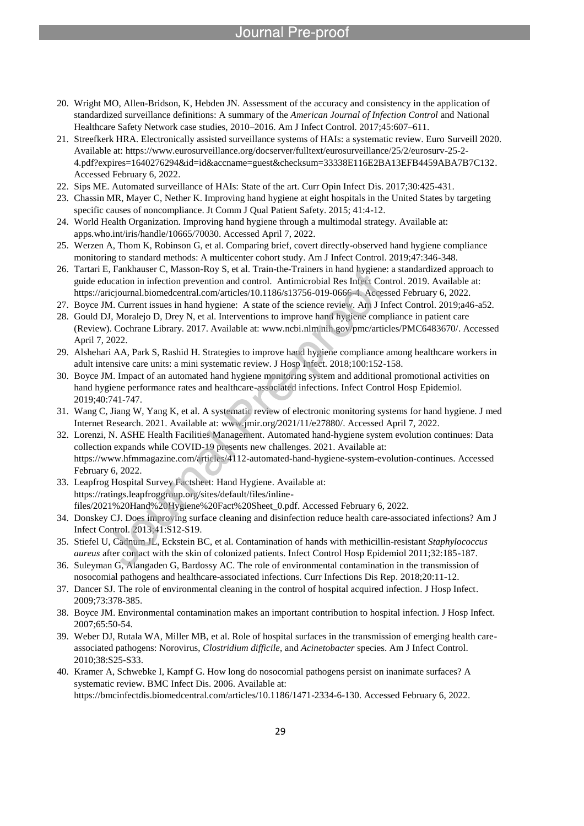- 20. Wright MO, Allen-Bridson, K, Hebden JN. Assessment of the accuracy and consistency in the application of standardized surveillance definitions: A summary of the *American Journal of Infection Control* and National Healthcare Safety Network case studies, 2010–2016. Am J Infect Control. 2017;45:607–611.
- 21. Streefkerk HRA. Electronically assisted surveillance systems of HAIs: a systematic review. Euro Surveill 2020. Available at: https://www.eurosurveillance.org/docserver/fulltext/eurosurveillance/25/2/eurosurv-25-2- 4.pdf?expires=1640276294&id=id&accname=guest&checksum=33338E116E2BA13EFB4459ABA7B7C132. Accessed February 6, 2022.
- 22. Sips ME. Automated surveillance of HAIs: State of the art. Curr Opin Infect Dis. 2017;30:425-431.

- 23. Chassin MR, Mayer C, Nether K. Improving hand hygiene at eight hospitals in the United States by targeting specific causes of noncompliance. Jt Comm J Qual Patient Safety. 2015; 41:4-12.
- 24. World Health Organization. Improving hand hygiene through a multimodal strategy. Available at: apps.who.int/iris/handle/10665/70030. Accessed April 7, 2022.
- 25. Werzen A, Thom K, Robinson G, et al. Comparing brief, covert directly-observed hand hygiene compliance monitoring to standard methods: A multicenter cohort study. Am J Infect Control. 2019;47:346-348.
- 26. Tartari E, Fankhauser C, Masson-Roy S, et al. Train-the-Trainers in hand hygiene: a standardized approach to guide education in infection prevention and control. Antimicrobial Res Infect Control. 2019. Available at: https://aricjournal.biomedcentral.com/articles/10.1186/s13756-019-0666-4. Accessed February 6, 2022.
- 27. Boyce JM. Current issues in hand hygiene: A state of the science review. Am J Infect Control. 2019;a46-a52.
- 28. Gould DJ, Moralejo D, Drey N, et al. Interventions to improve hand hygiene compliance in patient care (Review). Cochrane Library. 2017. Available at: www.ncbi.nlm.nih.gov/pmc/articles/PMC6483670/. Accessed April 7, 2022.
- 29. Alshehari AA, Park S, Rashid H. Strategies to improve hand hygiene compliance among healthcare workers in adult intensive care units: a mini systematic review. J Hosp Infect. 2018;100:152-158.
- 30. Boyce JM. Impact of an automated hand hygiene monitoring system and additional promotional activities on hand hygiene performance rates and healthcare-associated infections. Infect Control Hosp Epidemiol. 2019;40:741-747.
- 31. Wang C, Jiang W, Yang K, et al. A systematic review of electronic monitoring systems for hand hygiene. J med Internet Research. 2021. Available at: www.jmir.org/2021/11/e27880/. Accessed April 7, 2022.
- 32. Lorenzi, N. ASHE Health Facilities Management. Automated hand-hygiene system evolution continues: Data collection expands while COVID-19 presents new challenges. 2021. Available at: https://www.hfmmagazine.com/articles/4112-automated-hand-hygiene-system-evolution-continues. Accessed February 6, 2022.
- 33. Leapfrog Hospital Survey Factsheet: Hand Hygiene. Available at: https://ratings.leapfroggroup.org/sites/default/files/inlinefiles/2021%20Hand%20Hygiene%20Fact%20Sheet\_0.pdf. Accessed February 6, 2022.
- 34. Donskey CJ. Does improving surface cleaning and disinfection reduce health care-associated infections? Am J Infect Control. 2013;41:S12-S19.
- 35. Stiefel U, Cadnum JL, Eckstein BC, et al. Contamination of hands with methicillin-resistant *Staphylococcus aureus* after contact with the skin of colonized patients. Infect Control Hosp Epidemiol 2011;32:185-187.
- 36. Suleyman G, Alangaden G, Bardossy AC. The role of environmental contamination in the transmission of nosocomial pathogens and healthcare-associated infections. Curr Infections Dis Rep. 2018;20:11-12.
- 37. Dancer SJ. The role of environmental cleaning in the control of hospital acquired infection. J Hosp Infect. 2009;73:378-385.
- 38. Boyce JM. Environmental contamination makes an important contribution to hospital infection. J Hosp Infect. 2007;65:50-54.
- 39. Weber DJ, Rutala WA, Miller MB, et al. Role of hospital surfaces in the transmission of emerging health careassociated pathogens: Norovirus, *Clostridium difficile*, and *Acinetobacter* species. Am J Infect Control. 2010;38:S25-S33.
- 40. Kramer A, Schwebke I, Kampf G. How long do nosocomial pathogens persist on inanimate surfaces? A systematic review. BMC Infect Dis. 2006. Available at: https://bmcinfectdis.biomedcentral.com/articles/10.1186/1471-2334-6-130. Accessed February 6, 2022.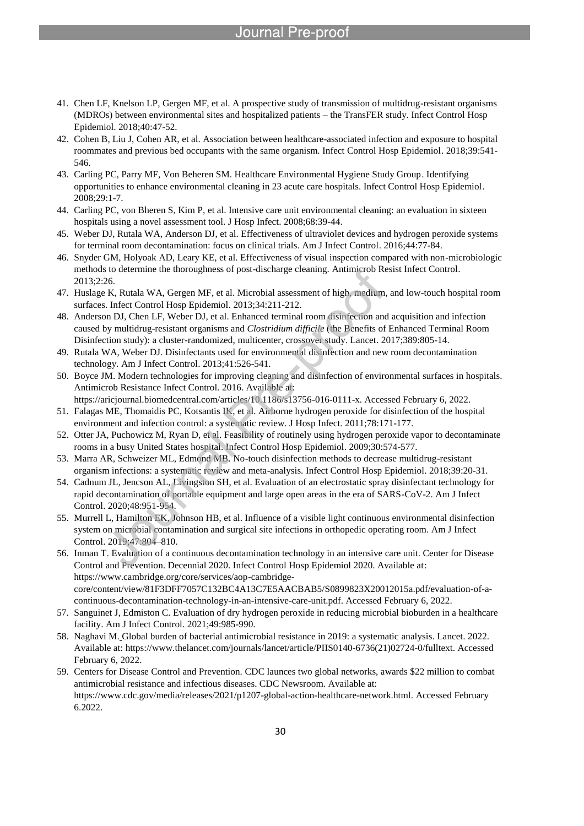41. Chen LF, Knelson LP, Gergen MF, et al. A prospective study of transmission of multidrug-resistant organisms (MDROs) between environmental sites and hospitalized patients – the TransFER study. Infect Control Hosp Epidemiol. 2018;40:47-52.

- 42. Cohen B, Liu J, Cohen AR, et al. Association between healthcare-associated infection and exposure to hospital roommates and previous bed occupants with the same organism. Infect Control Hosp Epidemiol. 2018;39:541- 546.
- 43. Carling PC, Parry MF, Von Beheren SM. Healthcare Environmental Hygiene Study Group. Identifying opportunities to enhance environmental cleaning in 23 acute care hospitals. Infect Control Hosp Epidemiol. 2008;29:1-7.
- 44. Carling PC, von Bheren S, Kim P, et al. Intensive care unit environmental cleaning: an evaluation in sixteen hospitals using a novel assessment tool. J Hosp Infect. 2008;68:39-44.
- 45. Weber DJ, Rutala WA, Anderson DJ, et al. Effectiveness of ultraviolet devices and hydrogen peroxide systems for terminal room decontamination: focus on clinical trials. Am J Infect Control. 2016;44:77-84.
- 46. Snyder GM, Holyoak AD, Leary KE, et al. Effectiveness of visual inspection compared with non-microbiologic methods to determine the thoroughness of post-discharge cleaning. Antimicrob Resist Infect Control. 2013;2:26.
- 47. Huslage K, Rutala WA, Gergen MF, et al. Microbial assessment of high, medium, and low-touch hospital room surfaces. Infect Control Hosp Epidemiol. 2013;34:211-212.
- 48. Anderson DJ, Chen LF, Weber DJ, et al. Enhanced terminal room disinfection and acquisition and infection caused by multidrug-resistant organisms and *Clostridium difficile* (the Benefits of Enhanced Terminal Room Disinfection study): a cluster-randomized, multicenter, crossover study. Lancet. 2017;389:805-14.
- 49. Rutala WA, Weber DJ. Disinfectants used for environmental disinfection and new room decontamination technology. Am J Infect Control. 2013;41:526-541.
- 50. Boyce JM. Modern technologies for improving cleaning and disinfection of environmental surfaces in hospitals. Antimicrob Resistance Infect Control. 2016. Available at: https://aricjournal.biomedcentral.com/articles/10.1186/s13756-016-0111-x. Accessed February 6, 2022.
- 51. Falagas ME, Thomaidis PC, Kotsantis IK, et al. Airborne hydrogen peroxide for disinfection of the hospital environment and infection control: a systematic review. J Hosp Infect. 2011;78:171-177.
- 52. Otter JA, Puchowicz M, Ryan D, et al. Feasibility of routinely using hydrogen peroxide vapor to decontaminate rooms in a busy United States hospital. Infect Control Hosp Epidemiol. 2009;30:574-577.
- 53. Marra AR, Schweizer ML, Edmond MB. No-touch disinfection methods to decrease multidrug-resistant organism infections: a systematic review and meta-analysis. Infect Control Hosp Epidemiol. 2018;39:20-31.
- 54. Cadnum JL, Jencson AL, Livingston SH, et al. Evaluation of an electrostatic spray disinfectant technology for rapid decontamination of portable equipment and large open areas in the era of SARS-CoV-2. Am J Infect Control. 2020;48:951-954.
- 55. Murrell L, Hamilton EK, Johnson HB, et al. Influence of a visible light continuous environmental disinfection system on microbial contamination and surgical site infections in orthopedic operating room. Am J Infect Control. 2019;47:804–810.
- 56. Inman T. Evaluation of a continuous decontamination technology in an intensive care unit. Center for Disease Control and Prevention. Decennial 2020. Infect Control Hosp Epidemiol 2020. Available at: https://www.cambridge.org/core/services/aop-cambridgecore/content/view/81F3DFF7057C132BC4A13C7E5AACBAB5/S0899823X20012015a.pdf/evaluation-of-acontinuous-decontamination-technology-in-an-intensive-care-unit.pdf. Accessed February 6, 2022.
- 57. Sanguinet J, Edmiston C. Evaluation of dry hydrogen peroxide in reducing microbial bioburden in a healthcare facility. Am J Infect Control. 2021;49:985-990.
- 58. Naghavi M. Global burden of bacterial antimicrobial resistance in 2019: a systematic analysis. Lancet. 2022. Available at: https://www.thelancet.com/journals/lancet/article/PIIS0140-6736(21)02724-0/fulltext. Accessed February 6, 2022.
- 59. Centers for Disease Control and Prevention. CDC launces two global networks, awards \$22 million to combat antimicrobial resistance and infectious diseases. CDC Newsroom. Available at: https://www.cdc.gov/media/releases/2021/p1207-global-action-healthcare-network.html. Accessed February 6.2022.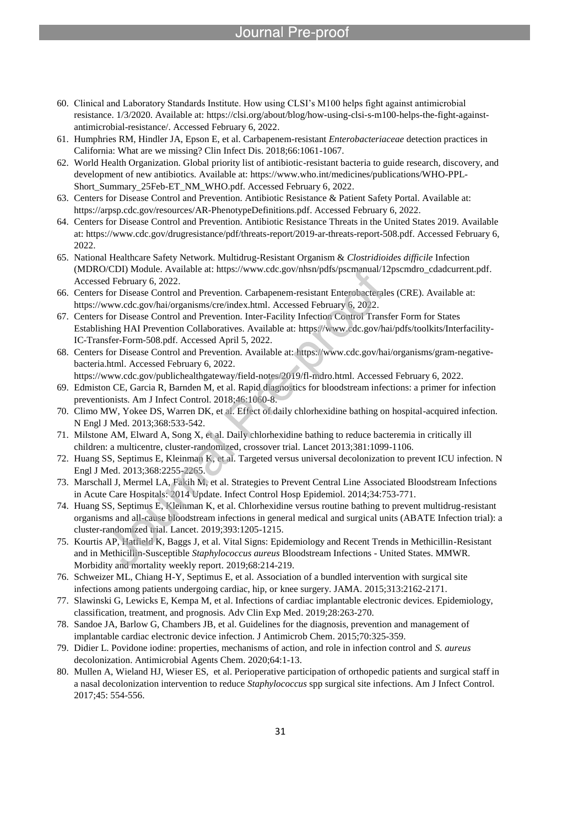# Pre-proo

60. Clinical and Laboratory Standards Institute. How using CLSI's M100 helps fight against antimicrobial resistance. 1/3/2020. Available at: https://clsi.org/about/blog/how-using-clsi-s-m100-helps-the-fight-againstantimicrobial-resistance/. Accessed February 6, 2022.

- 61. Humphries RM, Hindler JA, Epson E, et al. Carbapenem-resistant *Enterobacteriaceae* detection practices in California: What are we missing? Clin Infect Dis. 2018;66:1061-1067.
- 62. World Health Organization. Global priority list of antibiotic-resistant bacteria to guide research, discovery, and development of new antibiotics. Available at: https://www.who.int/medicines/publications/WHO-PPL-Short\_Summary\_25Feb-ET\_NM\_WHO.pdf. Accessed February 6, 2022.
- 63. Centers for Disease Control and Prevention. Antibiotic Resistance & Patient Safety Portal. Available at: https://arpsp.cdc.gov/resources/AR-PhenotypeDefinitions.pdf. Accessed February 6, 2022.
- 64. Centers for Disease Control and Prevention. Antibiotic Resistance Threats in the United States 2019. Available at: https://www.cdc.gov/drugresistance/pdf/threats-report/2019-ar-threats-report-508.pdf. Accessed February 6, 2022.
- 65. National Healthcare Safety Network. Multidrug-Resistant Organism & *Clostridioides difficile* Infection (MDRO/CDI) Module. Available at: https://www.cdc.gov/nhsn/pdfs/pscmanual/12pscmdro\_cdadcurrent.pdf. Accessed February 6, 2022.
- 66. Centers for Disease Control and Prevention. Carbapenem-resistant Enterobacterales (CRE). Available at: https://www.cdc.gov/hai/organisms/cre/index.html. Accessed February 6, 2022.
- 67. Centers for Disease Control and Prevention. Inter-Facility Infection Control Transfer Form for States Establishing HAI Prevention Collaboratives. Available at: https://www.cdc.gov/hai/pdfs/toolkits/Interfacility-IC-Transfer-Form-508.pdf. Accessed April 5, 2022.
- 68. Centers for Disease Control and Prevention. Available at: https://www.cdc.gov/hai/organisms/gram-negativebacteria.html. Accessed February 6, 2022.
- https://www.cdc.gov/publichealthgateway/field-notes/2019/fl-mdro.html. Accessed February 6, 2022.
- 69. Edmiston CE, Garcia R, Barnden M, et al. Rapid diagnostics for bloodstream infections: a primer for infection preventionists. Am J Infect Control. 2018;46:1060-8.
- 70. Climo MW, Yokee DS, Warren DK, et al. Effect of daily chlorhexidine bathing on hospital-acquired infection. N Engl J Med. 2013;368:533-542.
- 71. Milstone AM, Elward A, Song X, et al. Daily chlorhexidine bathing to reduce bacteremia in critically ill children: a multicentre, cluster-randomized, crossover trial. Lancet 2013;381:1099-1106.
- 72. Huang SS, Septimus E, Kleinman K, et al. Targeted versus universal decolonization to prevent ICU infection. N Engl J Med. 2013;368:2255-2265.
- 73. Marschall J, Mermel LA, Fakih M, et al. Strategies to Prevent Central Line Associated Bloodstream Infections in Acute Care Hospitals: 2014 Update. Infect Control Hosp Epidemiol. 2014;34:753-771.
- 74. Huang SS, Septimus E, Kleinman K, et al. Chlorhexidine versus routine bathing to prevent multidrug-resistant organisms and all-cause bloodstream infections in general medical and surgical units (ABATE Infection trial): a cluster-randomized trial. Lancet. 2019;393:1205-1215.
- 75. Kourtis AP, Hatfield K, Baggs J, et al. Vital Signs: Epidemiology and Recent Trends in Methicillin-Resistant and in Methicillin-Susceptible *Staphylococcus aureus* Bloodstream Infections - United States. MMWR. Morbidity and mortality weekly report. 2019;68:214-219.
- 76. Schweizer ML, Chiang H-Y, Septimus E, et al. Association of a bundled intervention with surgical site infections among patients undergoing cardiac, hip, or knee surgery. JAMA. 2015;313:2162-2171.
- 77. Slawinski G, Lewicks E, Kempa M, et al. Infections of cardiac implantable electronic devices. Epidemiology, classification, treatment, and prognosis. Adv Clin Exp Med. 2019;28:263-270.
- 78. Sandoe JA, Barlow G, Chambers JB, et al. Guidelines for the diagnosis, prevention and management of implantable cardiac electronic device infection. J Antimicrob Chem. 2015;70:325-359.
- 79. Didier L. Povidone iodine: properties, mechanisms of action, and role in infection control and *S. aureus* decolonization. Antimicrobial Agents Chem. 2020;64:1-13.
- 80. Mullen A, Wieland HJ, Wieser ES, et al. Perioperative participation of orthopedic patients and surgical staff in a nasal decolonization intervention to reduce *Staphylococcus* spp surgical site infections. Am J Infect Control. 2017;45: 554-556.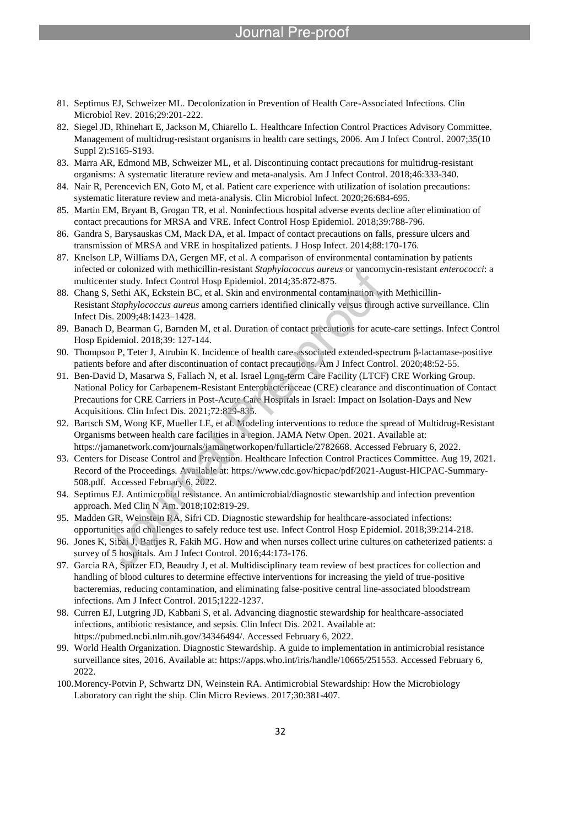# Pre-proo

81. Septimus EJ, Schweizer ML. Decolonization in Prevention of Health Care-Associated Infections. Clin Microbiol Rev. 2016;29:201-222.

- 82. Siegel JD, Rhinehart E, Jackson M, Chiarello L. Healthcare Infection Control Practices Advisory Committee. Management of multidrug-resistant organisms in health care settings, 2006. Am J Infect Control. 2007;35(10 Suppl 2):S165-S193.
- 83. Marra AR, Edmond MB, Schweizer ML, et al. Discontinuing contact precautions for multidrug-resistant organisms: A systematic literature review and meta-analysis. Am J Infect Control. 2018;46:333-340.
- 84. Nair R, Perencevich EN, Goto M, et al. Patient care experience with utilization of isolation precautions: systematic literature review and meta-analysis. Clin Microbiol Infect. 2020;26:684-695.
- 85. Martin EM, Bryant B, Grogan TR, et al. Noninfectious hospital adverse events decline after elimination of contact precautions for MRSA and VRE. Infect Control Hosp Epidemiol. 2018;39:788-796.
- 86. Gandra S, Barysauskas CM, Mack DA, et al. Impact of contact precautions on falls, pressure ulcers and transmission of MRSA and VRE in hospitalized patients. J Hosp Infect. 2014;88:170-176.
- 87. Knelson LP, Williams DA, Gergen MF, et al. A comparison of environmental contamination by patients infected or colonized with methicillin-resistant *Staphylococcus aureus* or vancomycin-resistant *enterococci*: a multicenter study. Infect Control Hosp Epidemiol. 2014;35:872-875.
- 88. Chang S, Sethi AK, Eckstein BC, et al. Skin and environmental contamination with Methicillin-Resistant *Staphylococcus aureus* among carriers identified clinically versus through active surveillance. Clin Infect Dis. 2009;48:1423–1428.
- 89. Banach D, Bearman G, Barnden M, et al. Duration of contact precautions for acute-care settings. Infect Control Hosp Epidemiol. 2018;39: 127-144.
- 90. Thompson P, Teter J, Atrubin K. Incidence of health care-associated extended-spectrum β-lactamase-positive patients before and after discontinuation of contact precautions. Am J Infect Control. 2020;48:52-55.
- 91. Ben-David D, Masarwa S, Fallach N, et al. Israel Long-term Care Facility (LTCF) CRE Working Group. National Policy for Carbapenem-Resistant Enterobacteriaceae (CRE) clearance and discontinuation of Contact Precautions for CRE Carriers in Post-Acute Care Hospitals in Israel: Impact on Isolation-Days and New Acquisitions. Clin Infect Dis. 2021;72:829-835.
- 92. Bartsch SM, Wong KF, Mueller LE, et al. Modeling interventions to reduce the spread of Multidrug-Resistant Organisms between health care facilities in a region. JAMA Netw Open. 2021. Available at: https://jamanetwork.com/journals/jamanetworkopen/fullarticle/2782668. Accessed February 6, 2022.
- 93. Centers for Disease Control and Prevention. Healthcare Infection Control Practices Committee. Aug 19, 2021. Record of the Proceedings. Available at: https://www.cdc.gov/hicpac/pdf/2021-August-HICPAC-Summary-508.pdf. Accessed February 6, 2022.
- 94. Septimus EJ. Antimicrobial resistance. An antimicrobial/diagnostic stewardship and infection prevention approach. Med Clin N Am. 2018;102:819-29.
- 95. Madden GR, Weinstein RA, Sifri CD. Diagnostic stewardship for healthcare-associated infections: opportunities and challenges to safely reduce test use. Infect Control Hosp Epidemiol. 2018;39:214-218.
- 96. Jones K, Sibai J, Battjes R, Fakih MG. How and when nurses collect urine cultures on catheterized patients: a survey of 5 hospitals. Am J Infect Control. 2016;44:173-176.
- 97. Garcia RA, Spitzer ED, Beaudry J, et al. Multidisciplinary team review of best practices for collection and handling of blood cultures to determine effective interventions for increasing the yield of true-positive bacteremias, reducing contamination, and eliminating false-positive central line-associated bloodstream infections. Am J Infect Control. 2015;1222-1237.
- 98. Curren EJ, Lutgring JD, Kabbani S, et al. Advancing diagnostic stewardship for healthcare-associated infections, antibiotic resistance, and sepsis. Clin Infect Dis. 2021. Available at: https://pubmed.ncbi.nlm.nih.gov/34346494/. Accessed February 6, 2022.
- 99. World Health Organization. Diagnostic Stewardship. A guide to implementation in antimicrobial resistance surveillance sites, 2016. Available at: https://apps.who.int/iris/handle/10665/251553. Accessed February 6, 2022.
- 100.Morency-Potvin P, Schwartz DN, Weinstein RA. Antimicrobial Stewardship: How the Microbiology Laboratory can right the ship. Clin Micro Reviews. 2017;30:381-407.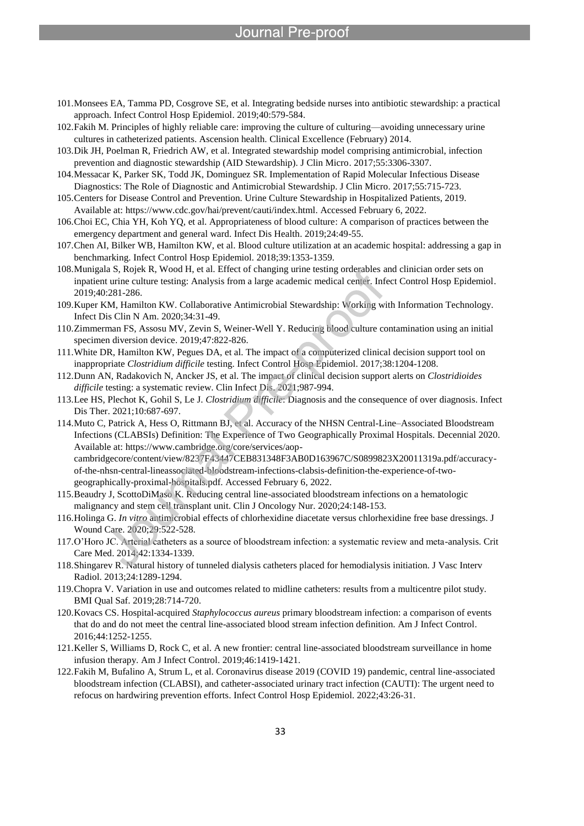# Pre-proo

- 101.Monsees EA, Tamma PD, Cosgrove SE, et al. Integrating bedside nurses into antibiotic stewardship: a practical approach. Infect Control Hosp Epidemiol. 2019;40:579-584.
- 102.Fakih M. Principles of highly reliable care: improving the culture of culturing—avoiding unnecessary urine cultures in catheterized patients. Ascension health. Clinical Excellence (February) 2014.

- 103.Dik JH, Poelman R, Friedrich AW, et al. Integrated stewardship model comprising antimicrobial, infection prevention and diagnostic stewardship (AID Stewardship). J Clin Micro. 2017;55:3306-3307.
- 104.Messacar K, Parker SK, Todd JK, Dominguez SR. Implementation of Rapid Molecular Infectious Disease Diagnostics: The Role of Diagnostic and Antimicrobial Stewardship. J Clin Micro. 2017;55:715-723.
- 105.Centers for Disease Control and Prevention. Urine Culture Stewardship in Hospitalized Patients, 2019. Available at: https://www.cdc.gov/hai/prevent/cauti/index.html. Accessed February 6, 2022.
- 106.Choi EC, Chia YH, Koh YQ, et al. Appropriateness of blood culture: A comparison of practices between the emergency department and general ward. Infect Dis Health. 2019;24:49-55.
- 107.Chen AI, Bilker WB, Hamilton KW, et al. Blood culture utilization at an academic hospital: addressing a gap in benchmarking. Infect Control Hosp Epidemiol. 2018;39:1353-1359.
- 108.Munigala S, Rojek R, Wood H, et al. Effect of changing urine testing orderables and clinician order sets on inpatient urine culture testing: Analysis from a large academic medical center. Infect Control Hosp Epidemiol. 2019;40:281-286.
- 109.Kuper KM, Hamilton KW. Collaborative Antimicrobial Stewardship: Working with Information Technology. Infect Dis Clin N Am. 2020;34:31-49.
- 110.Zimmerman FS, Assosu MV, Zevin S, Weiner-Well Y. Reducing blood culture contamination using an initial specimen diversion device. 2019;47:822-826.
- 111.White DR, Hamilton KW, Pegues DA, et al. The impact of a computerized clinical decision support tool on inappropriate *Clostridium difficile* testing. Infect Control Hosp Epidemiol. 2017;38:1204-1208.
- 112.Dunn AN, Radakovich N, Ancker JS, et al. The impact of clinical decision support alerts on *Clostridioides difficile* testing: a systematic review. Clin Infect Dis. 2021;987-994.
- 113.Lee HS, Plechot K, Gohil S, Le J. *Clostridium difficile*: Diagnosis and the consequence of over diagnosis. Infect Dis Ther. 2021;10:687-697.
- 114.Muto C, Patrick A, Hess O, Rittmann BJ, et al. Accuracy of the NHSN Central-Line–Associated Bloodstream Infections (CLABSIs) Definition: The Experience of Two Geographically Proximal Hospitals. Decennial 2020. Available at: https://www.cambridge.org/core/services/aopcambridgecore/content/view/8237F43447CEB831348F3AB0D163967C/S0899823X20011319a.pdf/accuracyof-the-nhsn-central-lineassociated-bloodstream-infections-clabsis-definition-the-experience-of-twogeographically-proximal-hospitals.pdf. Accessed February 6, 2022.
- 115.Beaudry J, ScottoDiMaso K. Reducing central line-associated bloodstream infections on a hematologic malignancy and stem cell transplant unit. Clin J Oncology Nur. 2020;24:148-153.
- 116.Holinga G. *In vitro* antimicrobial effects of chlorhexidine diacetate versus chlorhexidine free base dressings. J Wound Care. 2020;29:522-528.
- 117.O'Horo JC. Arterial catheters as a source of bloodstream infection: a systematic review and meta-analysis. Crit Care Med. 2014;42:1334-1339.
- 118.Shingarev R. Natural history of tunneled dialysis catheters placed for hemodialysis initiation. J Vasc Interv Radiol. 2013;24:1289-1294.
- 119.Chopra V. Variation in use and outcomes related to midline catheters: results from a multicentre pilot study. BMI Qual Saf. 2019;28:714-720.
- 120.Kovacs CS. Hospital-acquired *Staphylococcus aureus* primary bloodstream infection: a comparison of events that do and do not meet the central line-associated blood stream infection definition. Am J Infect Control. 2016;44:1252-1255.
- 121.Keller S, Williams D, Rock C, et al. A new frontier: central line-associated bloodstream surveillance in home infusion therapy. Am J Infect Control. 2019;46:1419-1421.
- 122.Fakih M, Bufalino A, Strum L, et al. Coronavirus disease 2019 (COVID 19) pandemic, central line-associated bloodstream infection (CLABSI), and catheter-associated urinary tract infection (CAUTI): The urgent need to refocus on hardwiring prevention efforts. Infect Control Hosp Epidemiol. 2022;43:26-31.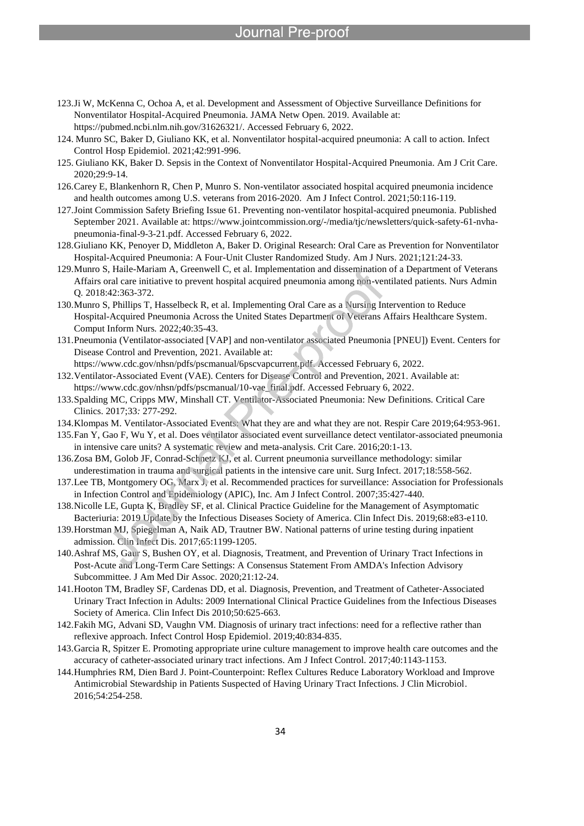123.Ji W, McKenna C, Ochoa A, et al. Development and Assessment of Objective Surveillance Definitions for Nonventilator Hospital-Acquired Pneumonia. JAMA Netw Open. 2019. Available at: https://pubmed.ncbi.nlm.nih.gov/31626321/. Accessed February 6, 2022.

- 124. Munro SC, Baker D, Giuliano KK, et al. Nonventilator hospital-acquired pneumonia: A call to action. Infect Control Hosp Epidemiol. 2021;42:991-996.
- 125. Giuliano KK, Baker D. Sepsis in the Context of Nonventilator Hospital-Acquired Pneumonia. Am J Crit Care. 2020;29:9-14.
- 126.Carey E, Blankenhorn R, Chen P, Munro S. Non-ventilator associated hospital acquired pneumonia incidence and health outcomes among U.S. veterans from 2016-2020. Am J Infect Control. 2021;50:116-119.
- 127.Joint Commission Safety Briefing Issue 61. Preventing non-ventilator hospital-acquired pneumonia. Published September 2021. Available at: https://www.jointcommission.org/-/media/tjc/newsletters/quick-safety-61-nvhapneumonia-final-9-3-21.pdf. Accessed February 6, 2022.
- 128.Giuliano KK, Penoyer D, Middleton A, Baker D. Original Research: Oral Care as Prevention for Nonventilator Hospital-Acquired Pneumonia: A Four-Unit Cluster Randomized Study. Am J Nurs. 2021;121:24-33.
- 129.Munro S, Haile-Mariam A, Greenwell C, et al. Implementation and dissemination of a Department of Veterans Affairs oral care initiative to prevent hospital acquired pneumonia among non-ventilated patients. Nurs Admin Q*.* 2018:42:363-372.
- 130.Munro S, Phillips T, Hasselbeck R, et al. Implementing Oral Care as a Nursing Intervention to Reduce Hospital-Acquired Pneumonia Across the United States Department of Veterans Affairs Healthcare System. Comput Inform Nurs*.* 2022;40:35-43.
- 131.Pneumonia (Ventilator-associated [VAP] and non-ventilator associated Pneumonia [PNEU]) Event. Centers for Disease Control and Prevention, 2021. Available at:
- https://www.cdc.gov/nhsn/pdfs/pscmanual/6pscvapcurrent.pdf. Accessed February 6, 2022. 132.Ventilator-Associated Event (VAE). Centers for Disease Control and Prevention, 2021. Available at: https://www.cdc.gov/nhsn/pdfs/pscmanual/10-vae\_final.pdf. Accessed February 6, 2022.
- 133.Spalding MC, Cripps MW, Minshall CT. Ventilator-Associated Pneumonia: New Definitions. Critical Care Clinics. 2017;33*:* 277-292.
- 134.Klompas M. Ventilator-Associated Events: What they are and what they are not. Respir Care 2019;64:953-961.
- 135.Fan Y, Gao F, Wu Y, et al. Does ventilator associated event surveillance detect ventilator-associated pneumonia in intensive care units? A systematic review and meta-analysis. Crit Care. 2016;20:1-13.
- 136.Zosa BM, Golob JF, Conrad-Schnetz KJ, et al. Current pneumonia surveillance methodology: similar underestimation in trauma and surgical patients in the intensive care unit. Surg Infect. 2017;18:558-562.
- 137.Lee TB, Montgomery OG, Marx J, et al. Recommended practices for surveillance: Association for Professionals in Infection Control and Epidemiology (APIC), Inc. Am J Infect Control. 2007;35:427-440.
- 138.Nicolle LE, Gupta K, Bradley SF, et al. Clinical Practice Guideline for the Management of Asymptomatic Bacteriuria: 2019 Update by the Infectious Diseases Society of America. Clin Infect Dis. 2019;68:e83-e110.
- 139.Horstman MJ, Spiegelman A, Naik AD, Trautner BW. National patterns of urine testing during inpatient admission. Clin Infect Dis. 2017;65:1199-1205.
- 140.Ashraf MS, Gaur S, Bushen OY, et al. Diagnosis, Treatment, and Prevention of Urinary Tract Infections in Post-Acute and Long-Term Care Settings: A Consensus Statement From AMDA's Infection Advisory Subcommittee. J Am Med Dir Assoc. 2020;21:12-24.
- 141.Hooton TM, Bradley SF, Cardenas DD, et al. Diagnosis, Prevention, and Treatment of Catheter‐Associated Urinary Tract Infection in Adults: 2009 International Clinical Practice Guidelines from the Infectious Diseases Society of America. Clin Infect Dis 2010;50:625-663.
- 142.Fakih MG, Advani SD, Vaughn VM. Diagnosis of urinary tract infections: need for a reflective rather than reflexive approach. Infect Control Hosp Epidemiol. 2019;40:834-835.
- 143.Garcia R, Spitzer E. Promoting appropriate urine culture management to improve health care outcomes and the accuracy of catheter-associated urinary tract infections. Am J Infect Control. 2017;40:1143-1153.
- 144.Humphries RM, Dien Bard J. Point-Counterpoint: Reflex Cultures Reduce Laboratory Workload and Improve Antimicrobial Stewardship in Patients Suspected of Having Urinary Tract Infections. J Clin Microbiol. 2016;54:254-258.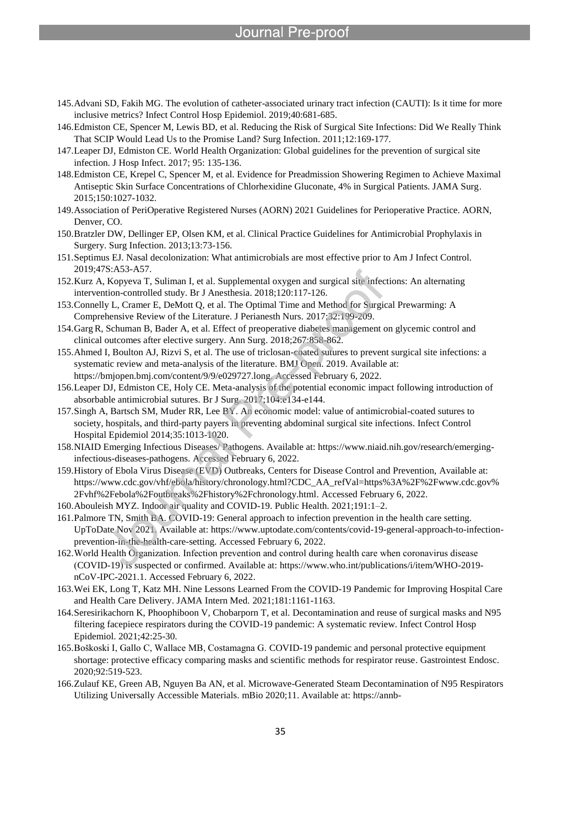### Journal Pre-proo

- 145.Advani SD, Fakih MG. The evolution of catheter-associated urinary tract infection (CAUTI): Is it time for more inclusive metrics? Infect Control Hosp Epidemiol. 2019;40:681-685.
- 146.Edmiston CE, Spencer M, Lewis BD, et al. Reducing the Risk of Surgical Site Infections: Did We Really Think That SCIP Would Lead Us to the Promise Land? Surg Infection. 2011;12:169-177.
- 147.Leaper DJ, Edmiston CE. World Health Organization: Global guidelines for the prevention of surgical site infection. J Hosp Infect. 2017; 95: 135-136.

- 148.Edmiston CE, Krepel C, Spencer M, et al. Evidence for Preadmission Showering Regimen to Achieve Maximal Antiseptic Skin Surface Concentrations of Chlorhexidine Gluconate, 4% in Surgical Patients. JAMA Surg. 2015;150:1027-1032.
- 149.Association of PeriOperative Registered Nurses (AORN) 2021 Guidelines for Perioperative Practice. AORN, Denver, CO.
- 150.Bratzler DW, Dellinger EP, Olsen KM, et al. Clinical Practice Guidelines for Antimicrobial Prophylaxis in Surgery. Surg Infection. 2013;13:73-156.
- 151.Septimus EJ. Nasal decolonization: What antimicrobials are most effective prior to Am J Infect Control. 2019;47S:A53-A57.
- 152.Kurz A, Kopyeva T, Suliman I, et al. Supplemental oxygen and surgical site infections: An alternating intervention-controlled study. Br J Anesthesia. 2018;120:117-126.
- 153.Connelly L, Cramer E, DeMott Q, et al. The Optimal Time and Method for Surgical Prewarming: A Comprehensive Review of the Literature. J Perianesth Nurs*.* 2017;32:199-209.
- 154.GargR, Schuman B, Bader A, et al. Effect of preoperative diabetes management on glycemic control and clinical outcomes after elective surgery. Ann Surg. 2018;267:858-862.
- 155.Ahmed I, Boulton AJ, Rizvi S, et al. The use of triclosan-coated sutures to prevent surgical site infections: a systematic review and meta-analysis of the literature. BMJ Open. 2019. Available at: https://bmjopen.bmj.com/content/9/9/e029727.long. Accessed February 6, 2022.
- 156.Leaper DJ, Edmiston CE, Holy CE. Meta-analysis of the potential economic impact following introduction of absorbable antimicrobial sutures. Br J Surg*.* 2017;104:e134-e144.
- 157.Singh A, Bartsch SM, Muder RR, Lee BY. An economic model: value of antimicrobial-coated sutures to society, hospitals, and third-party payers in preventing abdominal surgical site infections. Infect Control Hospital Epidemiol 2014;35:1013-1020.
- 158.NIAID Emerging Infectious Diseases/ Pathogens. Available at: https://www.niaid.nih.gov/research/emerginginfectious-diseases-pathogens. Accessed February 6, 2022.
- 159.History of Ebola Virus Disease (EVD) Outbreaks, Centers for Disease Control and Prevention, Available at: https://www.cdc.gov/vhf/ebola/history/chronology.html?CDC\_AA\_refVal=https%3A%2F%2Fwww.cdc.gov% 2Fvhf%2Febola%2Foutbreaks%2Fhistory%2Fchronology.html. Accessed February 6, 2022.
- 160.Abouleish MYZ. Indoor air quality and COVID-19. Public Health. 2021;191:1–2.
- 161.Palmore TN, Smith BA. COVID-19: General approach to infection prevention in the health care setting. UpToDate Nov 2021. Available at: https://www.uptodate.com/contents/covid-19-general-approach-to-infectionprevention-in-the-health-care-setting. Accessed February 6, 2022.
- 162.World Health Organization. Infection prevention and control during health care when coronavirus disease (COVID-19) is suspected or confirmed. Available at: https://www.who.int/publications/i/item/WHO-2019 nCoV-IPC-2021.1. Accessed February 6, 2022.
- 163.Wei EK, Long T, Katz MH. Nine Lessons Learned From the COVID-19 Pandemic for Improving Hospital Care and Health Care Delivery. JAMA Intern Med. 2021;181:1161-1163.
- 164.Seresirikachorn K, Phoophiboon V, Chobarporn T, et al. Decontamination and reuse of surgical masks and N95 filtering facepiece respirators during the COVID-19 pandemic: A systematic review. Infect Control Hosp Epidemiol. 2021;42:25-30.
- 165.Boškoski I, Gallo C, Wallace MB, Costamagna G. COVID-19 pandemic and personal protective equipment shortage: protective efficacy comparing masks and scientific methods for respirator reuse. Gastrointest Endosc. 2020;92:519-523.
- 166.Zulauf KE, Green AB, Nguyen Ba AN, et al. Microwave-Generated Steam Decontamination of N95 Respirators Utilizing Universally Accessible Materials. mBio 2020;11. Available at: https://annb-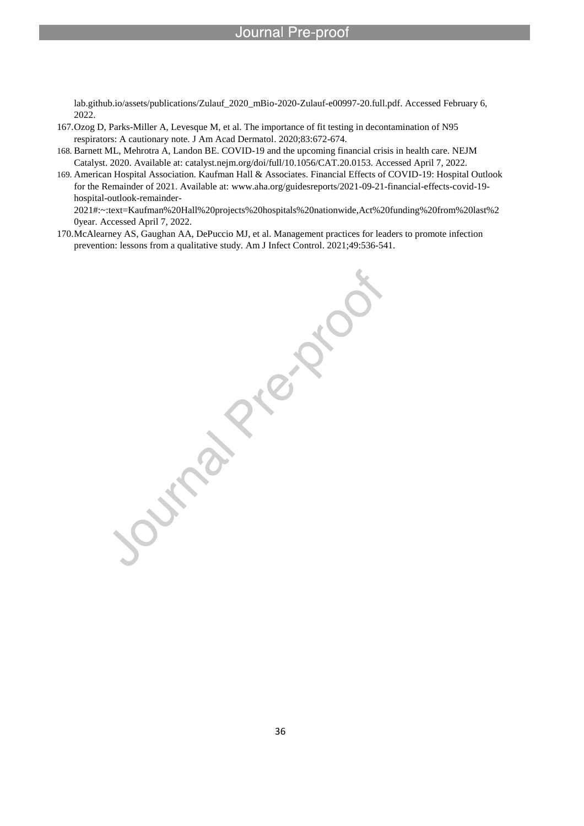lab.github.io/assets/publications/Zulauf\_2020\_mBio-2020-Zulauf-e00997-20.full.pdf. Accessed February 6, 2022.

167.Ozog D, Parks-Miller A, Levesque M, et al. The importance of fit testing in decontamination of N95 respirators: A cautionary note. J Am Acad Dermatol. 2020;83:672-674.

l

- 168. Barnett ML, Mehrotra A, Landon BE. COVID-19 and the upcoming financial crisis in health care. NEJM Catalyst. 2020. Available at: catalyst.nejm.org/doi/full/10.1056/CAT.20.0153. Accessed April 7, 2022.
- 169. American Hospital Association. Kaufman Hall & Associates. Financial Effects of COVID-19: Hospital Outlook for the Remainder of 2021. Available at: www.aha.org/guidesreports/2021-09-21-financial-effects-covid-19 hospital-outlook-remainder-

2021#:~:text=Kaufman%20Hall%20projects%20hospitals%20nationwide,Act%20funding%20from%20last%2 0year. Accessed April 7, 2022.

170.McAlearney AS, Gaughan AA, DePuccio MJ, et al. Management practices for leaders to promote infection prevention: lessons from a qualitative study. Am J Infect Control. 2021;49:536-541.

**PRICITION**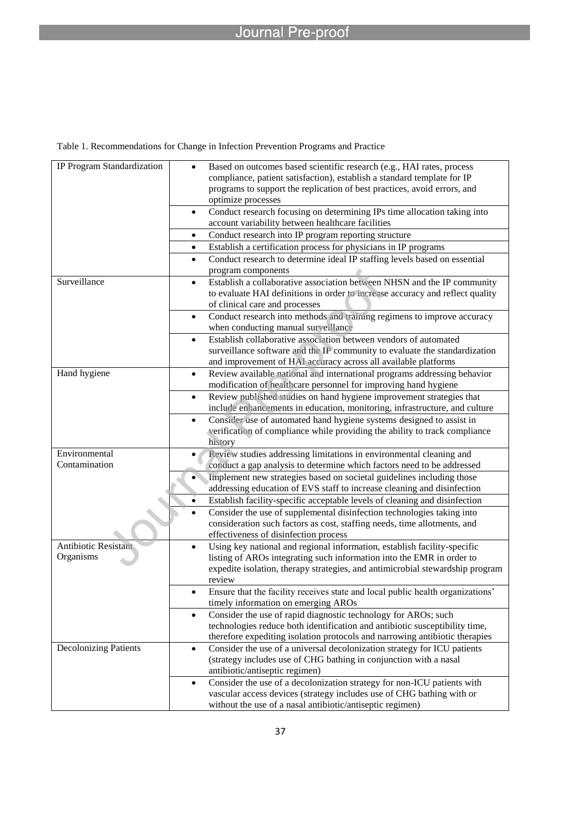|  |  |  |  | Table 1. Recommendations for Change in Infection Prevention Programs and Practice |
|--|--|--|--|-----------------------------------------------------------------------------------|
|  |  |  |  |                                                                                   |

| IP Program Standardization   | Based on outcomes based scientific research (e.g., HAI rates, process<br>compliance, patient satisfaction), establish a standard template for IP<br>programs to support the replication of best practices, avoid errors, and<br>optimize processes |  |
|------------------------------|----------------------------------------------------------------------------------------------------------------------------------------------------------------------------------------------------------------------------------------------------|--|
|                              | Conduct research focusing on determining IPs time allocation taking into<br>$\bullet$<br>account variability between healthcare facilities                                                                                                         |  |
|                              | Conduct research into IP program reporting structure<br>$\bullet$                                                                                                                                                                                  |  |
|                              | Establish a certification process for physicians in IP programs<br>$\bullet$                                                                                                                                                                       |  |
|                              | Conduct research to determine ideal IP staffing levels based on essential<br>$\bullet$<br>program components                                                                                                                                       |  |
| Surveillance                 | Establish a collaborative association between NHSN and the IP community<br>$\bullet$                                                                                                                                                               |  |
|                              | to evaluate HAI definitions in order to increase accuracy and reflect quality<br>of clinical care and processes                                                                                                                                    |  |
|                              | Conduct research into methods and training regimens to improve accuracy<br>$\bullet$                                                                                                                                                               |  |
|                              | when conducting manual surveillance                                                                                                                                                                                                                |  |
|                              | Establish collaborative association between vendors of automated<br>$\bullet$                                                                                                                                                                      |  |
|                              | surveillance software and the IP community to evaluate the standardization                                                                                                                                                                         |  |
|                              | and improvement of HAI accuracy across all available platforms                                                                                                                                                                                     |  |
| Hand hygiene                 | Review available national and international programs addressing behavior<br>$\bullet$<br>modification of healthcare personnel for improving hand hygiene                                                                                           |  |
|                              | Review published studies on hand hygiene improvement strategies that<br>$\bullet$                                                                                                                                                                  |  |
|                              | include enhancements in education, monitoring, infrastructure, and culture                                                                                                                                                                         |  |
|                              | Consider use of automated hand hygiene systems designed to assist in<br>$\bullet$                                                                                                                                                                  |  |
|                              | verification of compliance while providing the ability to track compliance<br>history                                                                                                                                                              |  |
| Environmental                | Review studies addressing limitations in environmental cleaning and                                                                                                                                                                                |  |
| Contamination                | conduct a gap analysis to determine which factors need to be addressed                                                                                                                                                                             |  |
|                              | Implement new strategies based on societal guidelines including those                                                                                                                                                                              |  |
|                              | addressing education of EVS staff to increase cleaning and disinfection                                                                                                                                                                            |  |
|                              | Establish facility-specific acceptable levels of cleaning and disinfection<br>$\bullet$                                                                                                                                                            |  |
|                              | Consider the use of supplemental disinfection technologies taking into                                                                                                                                                                             |  |
|                              | consideration such factors as cost, staffing needs, time allotments, and                                                                                                                                                                           |  |
|                              | effectiveness of disinfection process                                                                                                                                                                                                              |  |
| <b>Antibiotic Resistant</b>  | Using key national and regional information, establish facility-specific<br>$\bullet$                                                                                                                                                              |  |
| Organisms                    | listing of AROs integrating such information into the EMR in order to                                                                                                                                                                              |  |
|                              | expedite isolation, therapy strategies, and antimicrobial stewardship program<br>review                                                                                                                                                            |  |
|                              | Ensure that the facility receives state and local public health organizations'<br>$\bullet$                                                                                                                                                        |  |
|                              | timely information on emerging AROs                                                                                                                                                                                                                |  |
|                              | Consider the use of rapid diagnostic technology for AROs; such<br>$\bullet$                                                                                                                                                                        |  |
|                              | technologies reduce both identification and antibiotic susceptibility time,                                                                                                                                                                        |  |
|                              | therefore expediting isolation protocols and narrowing antibiotic therapies                                                                                                                                                                        |  |
| <b>Decolonizing Patients</b> | Consider the use of a universal decolonization strategy for ICU patients<br>$\bullet$                                                                                                                                                              |  |
|                              | (strategy includes use of CHG bathing in conjunction with a nasal                                                                                                                                                                                  |  |
|                              | antibiotic/antiseptic regimen)                                                                                                                                                                                                                     |  |
|                              | Consider the use of a decolonization strategy for non-ICU patients with<br>$\bullet$                                                                                                                                                               |  |
|                              | vascular access devices (strategy includes use of CHG bathing with or                                                                                                                                                                              |  |
|                              | without the use of a nasal antibiotic/antiseptic regimen)                                                                                                                                                                                          |  |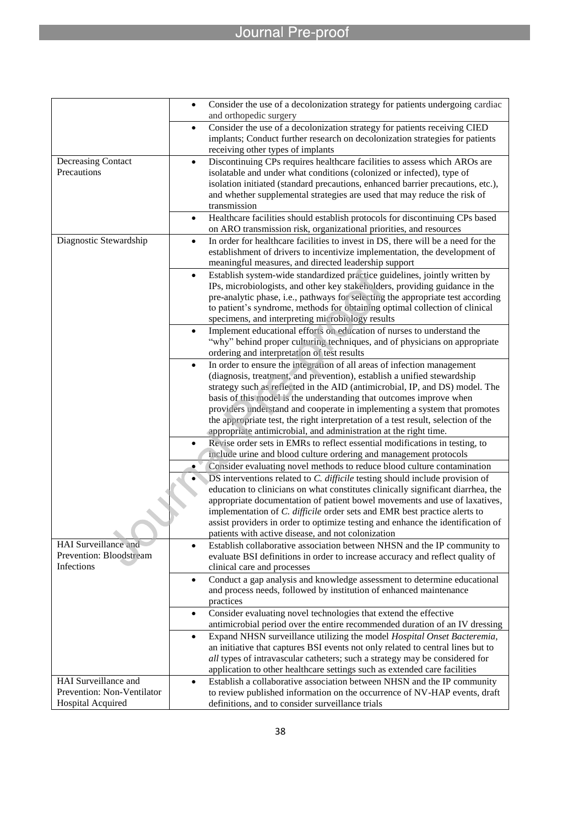# Journal Pre-proof

|                            | Consider the use of a decolonization strategy for patients undergoing cardiac<br>$\bullet$<br>and orthopedic surgery                                                                                        |
|----------------------------|-------------------------------------------------------------------------------------------------------------------------------------------------------------------------------------------------------------|
|                            | Consider the use of a decolonization strategy for patients receiving CIED<br>$\bullet$<br>implants; Conduct further research on decolonization strategies for patients<br>receiving other types of implants |
| Decreasing Contact         | Discontinuing CPs requires healthcare facilities to assess which AROs are<br>$\bullet$                                                                                                                      |
| Precautions                | isolatable and under what conditions (colonized or infected), type of                                                                                                                                       |
|                            | isolation initiated (standard precautions, enhanced barrier precautions, etc.),                                                                                                                             |
|                            | and whether supplemental strategies are used that may reduce the risk of                                                                                                                                    |
|                            | transmission                                                                                                                                                                                                |
|                            | Healthcare facilities should establish protocols for discontinuing CPs based<br>$\bullet$<br>on ARO transmission risk, organizational priorities, and resources                                             |
| Diagnostic Stewardship     | In order for healthcare facilities to invest in DS, there will be a need for the<br>$\bullet$                                                                                                               |
|                            | establishment of drivers to incentivize implementation, the development of                                                                                                                                  |
|                            | meaningful measures, and directed leadership support                                                                                                                                                        |
|                            | Establish system-wide standardized practice guidelines, jointly written by<br>$\bullet$                                                                                                                     |
|                            | IPs, microbiologists, and other key stakeholders, providing guidance in the                                                                                                                                 |
|                            | pre-analytic phase, i.e., pathways for selecting the appropriate test according                                                                                                                             |
|                            | to patient's syndrome, methods for obtaining optimal collection of clinical                                                                                                                                 |
|                            | specimens, and interpreting microbiology results<br>Implement educational efforts on education of nurses to understand the<br>$\bullet$                                                                     |
|                            | "why" behind proper culturing techniques, and of physicians on appropriate                                                                                                                                  |
|                            | ordering and interpretation of test results                                                                                                                                                                 |
|                            | In order to ensure the integration of all areas of infection management<br>$\bullet$                                                                                                                        |
|                            | (diagnosis, treatment, and prevention), establish a unified stewardship                                                                                                                                     |
|                            | strategy such as reflected in the AID (antimicrobial, IP, and DS) model. The                                                                                                                                |
|                            | basis of this model is the understanding that outcomes improve when                                                                                                                                         |
|                            | providers understand and cooperate in implementing a system that promotes                                                                                                                                   |
|                            | the appropriate test, the right interpretation of a test result, selection of the                                                                                                                           |
|                            | appropriate antimicrobial, and administration at the right time.<br>Revise order sets in EMRs to reflect essential modifications in testing, to<br>$\bullet$                                                |
|                            | include urine and blood culture ordering and management protocols                                                                                                                                           |
|                            | Consider evaluating novel methods to reduce blood culture contamination                                                                                                                                     |
|                            | DS interventions related to C. difficile testing should include provision of                                                                                                                                |
|                            | education to clinicians on what constitutes clinically significant diarrhea, the                                                                                                                            |
|                            | appropriate documentation of patient bowel movements and use of laxatives,                                                                                                                                  |
|                            | implementation of C. difficile order sets and EMR best practice alerts to                                                                                                                                   |
|                            | assist providers in order to optimize testing and enhance the identification of                                                                                                                             |
| HAI Surveillance and       | patients with active disease, and not colonization                                                                                                                                                          |
| Prevention: Bloodstream    | Establish collaborative association between NHSN and the IP community to<br>$\bullet$<br>evaluate BSI definitions in order to increase accuracy and reflect quality of                                      |
| Infections                 | clinical care and processes                                                                                                                                                                                 |
|                            | Conduct a gap analysis and knowledge assessment to determine educational<br>$\bullet$                                                                                                                       |
|                            | and process needs, followed by institution of enhanced maintenance                                                                                                                                          |
|                            | practices                                                                                                                                                                                                   |
|                            | Consider evaluating novel technologies that extend the effective<br>$\bullet$                                                                                                                               |
|                            | antimicrobial period over the entire recommended duration of an IV dressing                                                                                                                                 |
|                            | Expand NHSN surveillance utilizing the model Hospital Onset Bacteremia,<br>$\bullet$                                                                                                                        |
|                            | an initiative that captures BSI events not only related to central lines but to                                                                                                                             |
|                            | all types of intravascular catheters; such a strategy may be considered for                                                                                                                                 |
| HAI Surveillance and       | application to other healthcare settings such as extended care facilities<br>Establish a collaborative association between NHSN and the IP community<br>$\bullet$                                           |
| Prevention: Non-Ventilator | to review published information on the occurrence of NV-HAP events, draft                                                                                                                                   |
| Hospital Acquired          | definitions, and to consider surveillance trials                                                                                                                                                            |